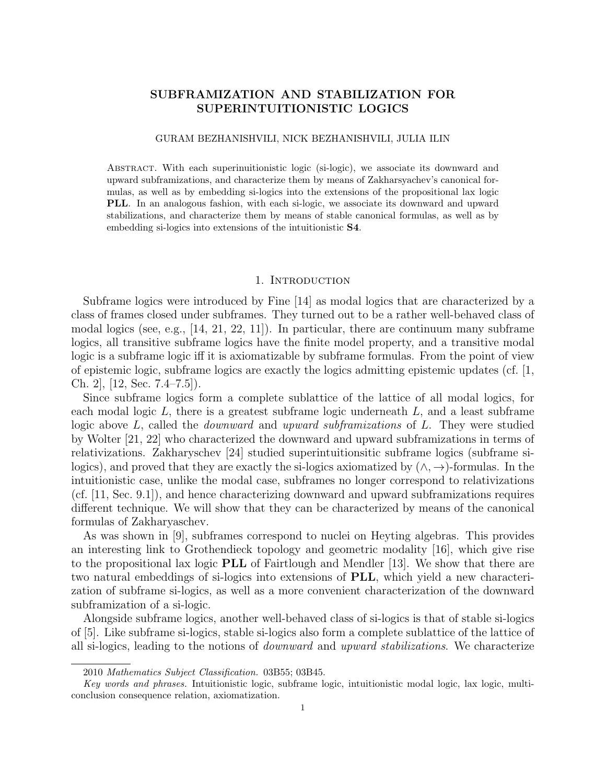# SUBFRAMIZATION AND STABILIZATION FOR SUPERINTUITIONISTIC LOGICS

#### GURAM BEZHANISHVILI, NICK BEZHANISHVILI, JULIA ILIN

Abstract. With each superinuitionistic logic (si-logic), we associate its downward and upward subframizations, and characterize them by means of Zakharsyachev's canonical formulas, as well as by embedding si-logics into the extensions of the propositional lax logic PLL. In an analogous fashion, with each si-logic, we associate its downward and upward stabilizations, and characterize them by means of stable canonical formulas, as well as by embedding si-logics into extensions of the intuitionistic S4.

### 1. Introduction

Subframe logics were introduced by Fine [14] as modal logics that are characterized by a class of frames closed under subframes. They turned out to be a rather well-behaved class of modal logics (see, e.g., [14, 21, 22, 11]). In particular, there are continuum many subframe logics, all transitive subframe logics have the finite model property, and a transitive modal logic is a subframe logic iff it is axiomatizable by subframe formulas. From the point of view of epistemic logic, subframe logics are exactly the logics admitting epistemic updates (cf. [1, Ch. 2], [12, Sec. 7.4–7.5]).

Since subframe logics form a complete sublattice of the lattice of all modal logics, for each modal logic  $L$ , there is a greatest subframe logic underneath  $L$ , and a least subframe logic above  $L$ , called the *downward* and upward subframizations of  $L$ . They were studied by Wolter [21, 22] who characterized the downward and upward subframizations in terms of relativizations. Zakharyschev [24] studied superintuitionsitic subframe logics (subframe silogics), and proved that they are exactly the si-logics axiomatized by  $(\wedge, \rightarrow)$ -formulas. In the intuitionistic case, unlike the modal case, subframes no longer correspond to relativizations (cf. [11, Sec. 9.1]), and hence characterizing downward and upward subframizations requires different technique. We will show that they can be characterized by means of the canonical formulas of Zakharyaschev.

As was shown in [9], subframes correspond to nuclei on Heyting algebras. This provides an interesting link to Grothendieck topology and geometric modality [16], which give rise to the propositional lax logic PLL of Fairtlough and Mendler [13]. We show that there are two natural embeddings of si-logics into extensions of PLL, which yield a new characterization of subframe si-logics, as well as a more convenient characterization of the downward subframization of a si-logic.

Alongside subframe logics, another well-behaved class of si-logics is that of stable si-logics of [5]. Like subframe si-logics, stable si-logics also form a complete sublattice of the lattice of all si-logics, leading to the notions of downward and upward stabilizations. We characterize

<sup>2010</sup> Mathematics Subject Classification. 03B55; 03B45.

Key words and phrases. Intuitionistic logic, subframe logic, intuitionistic modal logic, lax logic, multiconclusion consequence relation, axiomatization.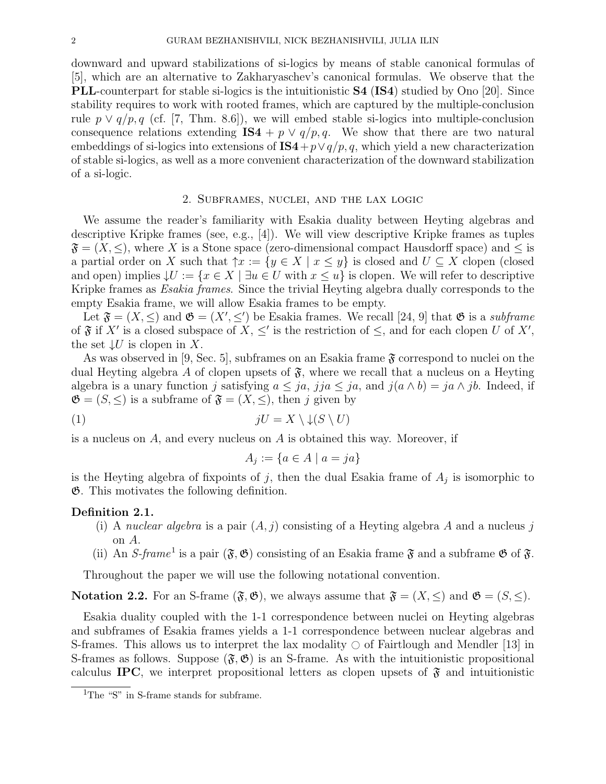downward and upward stabilizations of si-logics by means of stable canonical formulas of [5], which are an alternative to Zakharyaschev's canonical formulas. We observe that the PLL-counterpart for stable si-logics is the intuitionistic S4 (IS4) studied by Ono [20]. Since stability requires to work with rooted frames, which are captured by the multiple-conclusion rule  $p \vee q/p, q$  (cf. [7, Thm. 8.6]), we will embed stable si-logics into multiple-conclusion consequence relations extending IS4 +  $p \lor q/p, q$ . We show that there are two natural embeddings of si-logics into extensions of  $\text{IS4} + p \vee q/p, q$ , which yield a new characterization of stable si-logics, as well as a more convenient characterization of the downward stabilization of a si-logic.

# 2. Subframes, nuclei, and the lax logic

We assume the reader's familiarity with Esakia duality between Heyting algebras and descriptive Kripke frames (see, e.g., [4]). We will view descriptive Kripke frames as tuples  $\mathfrak{F} = (X, \leq),$  where X is a Stone space (zero-dimensional compact Hausdorff space) and  $\leq$  is a partial order on X such that  $\uparrow x := \{y \in X \mid x \leq y\}$  is closed and  $U \subseteq X$  clopen (closed and open) implies  $\downarrow U := \{x \in X \mid \exists u \in U \text{ with } x \leq u\}$  is clopen. We will refer to descriptive Kripke frames as Esakia frames. Since the trivial Heyting algebra dually corresponds to the empty Esakia frame, we will allow Esakia frames to be empty.

Let  $\mathfrak{F} = (X, \leq)$  and  $\mathfrak{G} = (X', \leq')$  be Esakia frames. We recall [24, 9] that  $\mathfrak{G}$  is a subframe of  $\mathfrak F$  if X' is a closed subspace of X,  $\leq'$  is the restriction of  $\leq$ , and for each clopen U of X', the set  $\downarrow U$  is clopen in X.

As was observed in [9, Sec. 5], subframes on an Esakia frame  $\mathfrak F$  correspond to nuclei on the dual Heyting algebra A of clopen upsets of  $\mathfrak{F}$ , where we recall that a nucleus on a Heyting algebra is a unary function j satisfying  $a \leq ja$ , jj $a \leq ja$ , and  $j(a \wedge b) = ja \wedge jb$ . Indeed, if  $\mathfrak{G} = (S, \leq)$  is a subframe of  $\mathfrak{F} = (X, \leq)$ , then j given by

$$
(1) \t\t\t\t jU = X \setminus \downarrow (S \setminus U)
$$

is a nucleus on  $A$ , and every nucleus on  $A$  is obtained this way. Moreover, if

$$
A_j := \{ a \in A \mid a = ja \}
$$

is the Heyting algebra of fixpoints of j, then the dual Esakia frame of  $A_j$  is isomorphic to G. This motivates the following definition.

### Definition 2.1.

- (i) A nuclear algebra is a pair  $(A, j)$  consisting of a Heyting algebra A and a nucleus j on A.
- (ii) An S-frame<sup>1</sup> is a pair  $(\mathfrak{F}, \mathfrak{G})$  consisting of an Esakia frame  $\mathfrak{F}$  and a subframe  $\mathfrak{G}$  of  $\mathfrak{F}$ .

Throughout the paper we will use the following notational convention.

**Notation 2.2.** For an S-frame  $(\mathfrak{F}, \mathfrak{G})$ , we always assume that  $\mathfrak{F} = (X, \leq)$  and  $\mathfrak{G} = (S, \leq)$ .

Esakia duality coupled with the 1-1 correspondence between nuclei on Heyting algebras and subframes of Esakia frames yields a 1-1 correspondence between nuclear algebras and S-frames. This allows us to interpret the lax modality  $\circ$  of Fairtlough and Mendler [13] in S-frames as follows. Suppose  $(\mathfrak{F}, \mathfrak{G})$  is an S-frame. As with the intuitionistic propositional calculus IPC, we interpret propositional letters as clopen upsets of  $\mathfrak{F}$  and intuitionistic

<sup>&</sup>lt;sup>1</sup>The "S" in S-frame stands for subframe.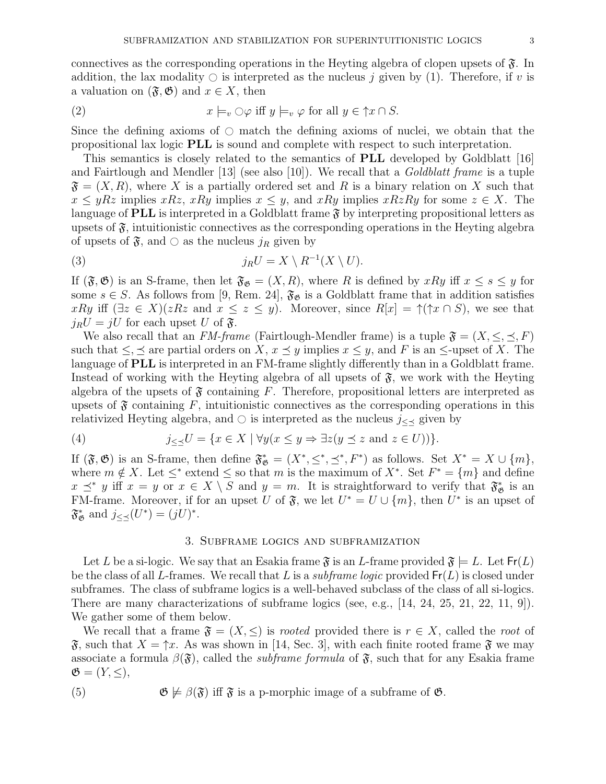connectives as the corresponding operations in the Heyting algebra of clopen upsets of  $\mathfrak{F}$ . In addition, the lax modality  $\circ$  is interpreted as the nucleus j given by (1). Therefore, if v is a valuation on  $(\mathfrak{F}, \mathfrak{G})$  and  $x \in X$ , then

(2) 
$$
x \models_v \bigcirc \varphi \text{ iff } y \models_v \varphi \text{ for all } y \in \uparrow x \cap S.
$$

Since the defining axioms of  $\circlearrowright$  match the defining axioms of nuclei, we obtain that the propositional lax logic PLL is sound and complete with respect to such interpretation.

This semantics is closely related to the semantics of PLL developed by Goldblatt [16] and Fairtlough and Mendler  $[13]$  (see also  $[10]$ ). We recall that a *Goldblatt frame* is a tuple  $\mathfrak{F} = (X, R)$ , where X is a partially ordered set and R is a binary relation on X such that  $x \leq yRz$  implies  $xRz$ ,  $xRy$  implies  $x \leq y$ , and  $xRy$  implies  $xRzRy$  for some  $z \in X$ . The language of **PLL** is interpreted in a Goldblatt frame  $\mathfrak{F}$  by interpreting propositional letters as upsets of  $\mathfrak{F}$ , intuitionistic connectives as the corresponding operations in the Heyting algebra of upsets of  $\mathfrak{F}$ , and  $\circ$  as the nucleus  $j_R$  given by

(3) 
$$
j_R U = X \setminus R^{-1}(X \setminus U).
$$

If  $(\mathfrak{F}, \mathfrak{G})$  is an S-frame, then let  $\mathfrak{F}_{\mathfrak{G}} = (X, R)$ , where R is defined by  $xRy$  iff  $x \leq s \leq y$  for some  $s \in S$ . As follows from [9, Rem. 24],  $\mathfrak{F}_{\mathfrak{G}}$  is a Goldblatt frame that in addition satisfies xRy iff  $(\exists z \in X)(zRz$  and  $x \le z \le y)$ . Moreover, since  $R[x] = \uparrow (\uparrow x \cap S)$ , we see that  $i_R U = iU$  for each upset U of  $\mathfrak{F}$ .

We also recall that an FM-frame (Fairtlough-Mendler frame) is a tuple  $\mathfrak{F} = (X, \leq, \preceq, F)$ such that  $\leq, \leq$  are partial orders on X,  $x \leq y$  implies  $x \leq y$ , and F is an  $\leq$ -upset of X. The language of **PLL** is interpreted in an FM-frame slightly differently than in a Goldblatt frame. Instead of working with the Heyting algebra of all upsets of  $\mathfrak{F}$ , we work with the Heyting algebra of the upsets of  $\mathfrak F$  containing F. Therefore, propositional letters are interpreted as upsets of  $\mathfrak F$  containing F, intuitionistic connectives as the corresponding operations in this relativized Heyting algebra, and  $\circ$  is interpreted as the nucleus  $j \lt \mathcal{I}$  given by

(4) 
$$
j_{\leq \preceq} U = \{ x \in X \mid \forall y (x \leq y \Rightarrow \exists z (y \preceq z \text{ and } z \in U)) \}.
$$

If  $(\mathfrak{F}, \mathfrak{G})$  is an S-frame, then define  $\mathfrak{F}_{\mathfrak{G}}^* = (X^*, \leq^*, \leq^*, F^*)$  as follows. Set  $X^* = X \cup \{m\}$ , where  $m \notin X$ . Let  $\leq^*$  extend  $\leq$  so that m is the maximum of  $X^*$ . Set  $F^* = \{m\}$  and define  $x \preceq^* y$  iff  $x = y$  or  $x \in X \setminus S$  and  $y = m$ . It is straightforward to verify that  $\mathfrak{F}_{\mathfrak{G}}^*$  is an FM-frame. Moreover, if for an upset U of  $\mathfrak{F}$ , we let  $U^* = U \cup \{m\}$ , then  $U^*$  is an upset of  $\mathfrak{F}^*_{\mathfrak{G}}$  and  $j_{\leq \preceq}(U^*)=(jU)^*$ .

### 3. Subframe logics and subframization

Let L be a si-logic. We say that an Esakia frame  $\mathfrak{F}$  is an L-frame provided  $\mathfrak{F} \models L$ . Let  $\mathsf{Fr}(L)$ be the class of all L-frames. We recall that L is a *subframe logic* provided  $Fr(L)$  is closed under subframes. The class of subframe logics is a well-behaved subclass of the class of all si-logics. There are many characterizations of subframe logics (see, e.g., [14, 24, 25, 21, 22, 11, 9]). We gather some of them below.

We recall that a frame  $\mathfrak{F} = (X, \leq)$  is *rooted* provided there is  $r \in X$ , called the *root* of  $\mathfrak{F}$ , such that  $X = \uparrow x$ . As was shown in [14, Sec. 3], with each finite rooted frame  $\mathfrak{F}$  we may associate a formula  $\beta(\mathfrak{F})$ , called the *subframe formula* of  $\mathfrak{F}$ , such that for any Esakia frame  $\mathfrak{G} = (Y, \leq),$ 

(5) 
$$
\mathfrak{G} \not\models \beta(\mathfrak{F})
$$
 iff  $\mathfrak{F}$  is a p-morphic image of a subframe of  $\mathfrak{G}$ .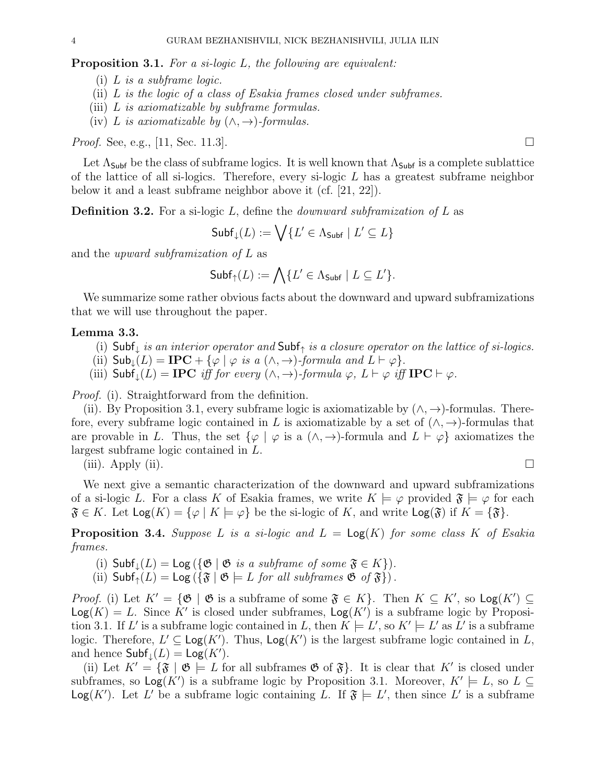Proposition 3.1. For a si-logic L, the following are equivalent:

- (i) L is a subframe logic.
- (ii) L is the logic of a class of Esakia frames closed under subframes.
- (iii) L is axiomatizable by subframe formulas.
- (iv) L is axiomatizable by  $(\wedge, \rightarrow)$ -formulas.

*Proof.* See, e.g., [11, Sec. 11.3].

Let  $\Lambda_{\mathsf{Subf}}$  be the class of subframe logics. It is well known that  $\Lambda_{\mathsf{Subf}}$  is a complete sublattice of the lattice of all si-logics. Therefore, every si-logic L has a greatest subframe neighbor below it and a least subframe neighbor above it (cf. [21, 22]).

**Definition 3.2.** For a si-logic L, define the *downward subframization of L* as

$$
\mathsf{Subf}_{\downarrow}(L):=\bigvee\{L'\in\Lambda_{\mathsf{Subf}}\mid L'\subseteq L\}
$$

and the upward subframization of L as

$$
\mathsf{Subf}_{\uparrow}(L) := \bigwedge \{ L' \in \Lambda_{\mathsf{Subf}} \mid L \subseteq L' \}.
$$

We summarize some rather obvious facts about the downward and upward subframizations that we will use throughout the paper.

### Lemma 3.3.

- (i) Subf<sub>↓</sub> is an interior operator and Subf<sub>↑</sub> is a closure operator on the lattice of si-logics.
- (ii)  $\mathsf{Sub}_{\downarrow}(L) = \mathbf{IPC} + \{ \varphi \mid \varphi \text{ is a } (\wedge, \rightarrow) \text{-formula and } L \vdash \varphi \}.$
- (iii)  $\mathsf{Subf}_{\perp}(L) = \mathbf{IPC}$  iff for every  $(\wedge, \rightarrow)$ -formula  $\varphi, L \vdash \varphi$  iff  $\mathbf{IPC} \vdash \varphi$ .

Proof. (i). Straightforward from the definition.

(ii). By Proposition 3.1, every subframe logic is axiomatizable by  $(\wedge, \rightarrow)$ -formulas. Therefore, every subframe logic contained in L is axiomatizable by a set of  $(\wedge, \rightarrow)$ -formulas that are provable in L. Thus, the set  $\{\varphi \mid \varphi \text{ is a } (\wedge, \rightarrow) \text{-formula and } L \vdash \varphi \}$  axiomatizes the largest subframe logic contained in L.

(iii). Apply (ii).

We next give a semantic characterization of the downward and upward subframizations of a si-logic L. For a class K of Esakia frames, we write  $K \models \varphi$  provided  $\mathfrak{F} \models \varphi$  for each  $\mathfrak{F} \in K$ . Let  $\text{Log}(K) = {\varphi \mid K \models \varphi}$  be the si-logic of K, and write  $\text{Log}(\mathfrak{F})$  if  $K = {\mathfrak{F}}$ .

**Proposition 3.4.** Suppose L is a si-logic and  $L = \text{Log}(K)$  for some class K of Esakia frames.

- (i)  $\mathsf{Subf}_{\perp}(L) = \mathsf{Log}(\{\mathfrak{G} \mid \mathfrak{G} \text{ is a subframe of some } \mathfrak{F} \in K\}).$
- (ii)  $\mathsf{Subf}_{\uparrow}(L) = \mathsf{Log}(\{\mathfrak{F} \mid \mathfrak{G} \models L \text{ for all subframes } \mathfrak{G} \text{ of } \mathfrak{F}\}).$

*Proof.* (i) Let  $K' = {\mathfrak{G} \mid \mathfrak{G}}$  is a subframe of some  $\mathfrak{F} \in K}$ . Then  $K \subseteq K'$ , so  $\text{Log}(K') \subseteq$  $Log(K) = L$ . Since K' is closed under subframes,  $Log(K')$  is a subframe logic by Proposition 3.1. If L' is a subframe logic contained in L, then  $K \models L'$ , so  $K' \models L'$  as L' is a subframe logic. Therefore,  $L' \subseteq \text{Log}(K')$ . Thus,  $\text{Log}(K')$  is the largest subframe logic contained in L, and hence  $\mathsf{Subf}_{\downarrow}(L) = \mathsf{Log}(K')$ .

(ii) Let  $K' = {\mathfrak{F} \mid \mathfrak{G} \models L}$  for all subframes  $\mathfrak{G}$  of  $\mathfrak{F}$ . It is clear that K' is closed under subframes, so  $\textsf{Log}(K')$  is a subframe logic by Proposition 3.1. Moreover,  $K' \models L$ , so  $L \subseteq$  $\textsf{Log}(K')$ . Let L' be a subframe logic containing L. If  $\mathfrak{F} \models L'$ , then since L' is a subframe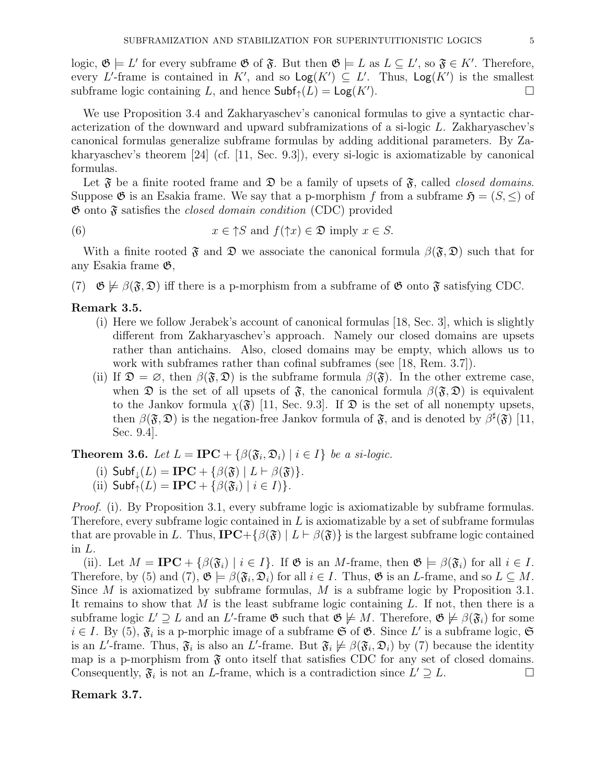logic,  $\mathfrak{G} \models L'$  for every subframe  $\mathfrak{G}$  of  $\mathfrak{F}$ . But then  $\mathfrak{G} \models L$  as  $L \subseteq L'$ , so  $\mathfrak{F} \in K'$ . Therefore, every L'-frame is contained in K', and so  $\text{Log}(K') \subseteq L'$ . Thus,  $\text{Log}(K')$  is the smallest subframe logic containing L, and hence  $\mathsf{Subf}_{\uparrow}(L) = \mathsf{Log}(K')$ . ).  $\qquad \qquad \square$ 

We use Proposition 3.4 and Zakharyaschev's canonical formulas to give a syntactic characterization of the downward and upward subframizations of a si-logic L. Zakharyaschev's canonical formulas generalize subframe formulas by adding additional parameters. By Zakharyaschev's theorem [24] (cf. [11, Sec. 9.3]), every si-logic is axiomatizable by canonical formulas.

Let  $\mathfrak F$  be a finite rooted frame and  $\mathfrak D$  be a family of upsets of  $\mathfrak F$ , called *closed domains*. Suppose  $\mathfrak G$  is an Esakia frame. We say that a p-morphism f from a subframe  $\mathfrak H = (S, \leq)$  of  $\mathfrak{G}$  onto  $\mathfrak{F}$  satisfies the *closed domain condition* (CDC) provided

(6) 
$$
x \in \uparrow S
$$
 and  $f(\uparrow x) \in \mathfrak{D}$  imply  $x \in S$ .

With a finite rooted  $\mathfrak{F}$  and  $\mathfrak{D}$  we associate the canonical formula  $\beta(\mathfrak{F}, \mathfrak{D})$  such that for any Esakia frame G,

(7)  $\mathfrak{G} \not\models \beta(\mathfrak{F}, \mathfrak{D})$  iff there is a p-morphism from a subframe of  $\mathfrak{G}$  onto  $\mathfrak{F}$  satisfying CDC.

### Remark 3.5.

- (i) Here we follow Jerabek's account of canonical formulas [18, Sec. 3], which is slightly different from Zakharyaschev's approach. Namely our closed domains are upsets rather than antichains. Also, closed domains may be empty, which allows us to work with subframes rather than cofinal subframes (see [18, Rem. 3.7]).
- (ii) If  $\mathfrak{D} = \emptyset$ , then  $\beta(\mathfrak{F}, \mathfrak{D})$  is the subframe formula  $\beta(\mathfrak{F})$ . In the other extreme case, when  $\mathfrak D$  is the set of all upsets of  $\mathfrak F$ , the canonical formula  $\beta(\mathfrak F,\mathfrak D)$  is equivalent to the Jankov formula  $\chi(\mathfrak{F})$  [11, Sec. 9.3]. If  $\mathfrak{D}$  is the set of all nonempty upsets, then  $\beta(\mathfrak{F},\mathfrak{D})$  is the negation-free Jankov formula of  $\mathfrak{F}$ , and is denoted by  $\beta^{\sharp}(\mathfrak{F})$  [11, Sec. 9.4].

**Theorem 3.6.** Let  $L = \text{IPC} + \{ \beta(\mathfrak{F}_i, \mathfrak{D}_i) \mid i \in I \}$  be a si-logic.

(i) Subf<sub>$$
\downarrow
$$</sub>(L) = IPC + { $\beta(\mathfrak{F})$  | L  $\vdash \beta(\mathfrak{F})$  }.

(ii)  $\mathsf{Subf}_{\uparrow}(L) = \mathbf{IPC} + \{\beta(\mathfrak{F}_i) \mid i \in I\}$ .

*Proof.* (i). By Proposition 3.1, every subframe logic is axiomatizable by subframe formulas. Therefore, every subframe logic contained in  $L$  is axiomatizable by a set of subframe formulas that are provable in L. Thus,  $\text{IPC}+\{\beta(\mathfrak{F}) \mid L \vdash \beta(\mathfrak{F})\}$  is the largest subframe logic contained in L.

(ii). Let  $M = \text{IPC} + \{\beta(\mathfrak{F}_i) \mid i \in I\}$ . If  $\mathfrak{G}$  is an M-frame, then  $\mathfrak{G} \models \beta(\mathfrak{F}_i)$  for all  $i \in I$ . Therefore, by (5) and (7),  $\mathfrak{G} \models \beta(\mathfrak{F}_i, \mathfrak{D}_i)$  for all  $i \in I$ . Thus,  $\mathfrak{G}$  is an *L*-frame, and so  $L \subseteq M$ . Since M is axiomatized by subframe formulas, M is a subframe logic by Proposition 3.1. It remains to show that M is the least subframe logic containing  $L$ . If not, then there is a subframe logic  $L' \supseteq L$  and an L'-frame  $\mathfrak{G}$  such that  $\mathfrak{G} \not\models M$ . Therefore,  $\mathfrak{G} \not\models \beta(\mathfrak{F}_i)$  for some  $i \in I$ . By (5),  $\mathfrak{F}_i$  is a p-morphic image of a subframe  $\mathfrak{S}$  of  $\mathfrak{G}$ . Since L' is a subframe logic,  $\mathfrak{S}$ is an L'-frame. Thus,  $\mathfrak{F}_i$  is also an L'-frame. But  $\mathfrak{F}_i \not\models \beta(\mathfrak{F}_i, \mathfrak{D}_i)$  by (7) because the identity map is a p-morphism from  $\mathfrak F$  onto itself that satisfies CDC for any set of closed domains. Consequently,  $\mathfrak{F}_i$  is not an *L*-frame, which is a contradiction since  $L' \supseteq L$ .

## Remark 3.7.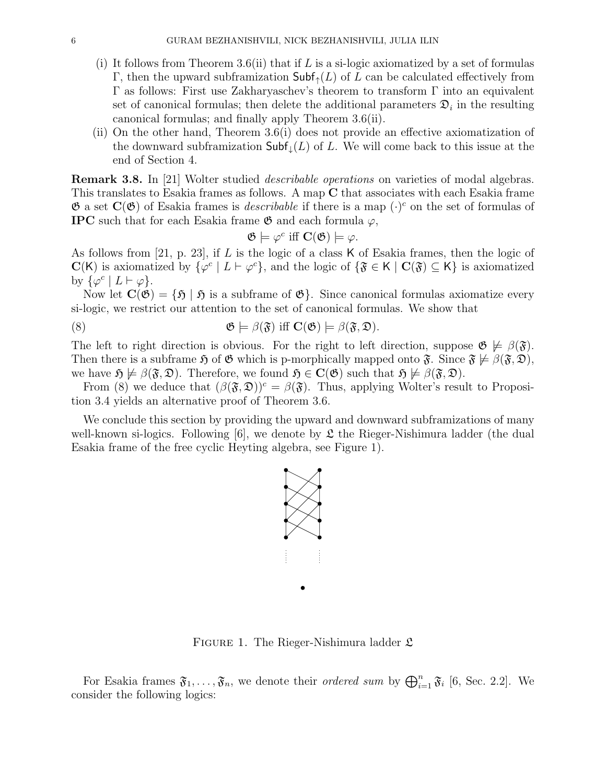- (i) It follows from Theorem 3.6(ii) that if  $L$  is a si-logic axiomatized by a set of formulas Γ, then the upward subframization  $\text{Subf}_{\uparrow}(L)$  of L can be calculated effectively from Γ as follows: First use Zakharyaschev's theorem to transform Γ into an equivalent set of canonical formulas; then delete the additional parameters  $\mathfrak{D}_i$  in the resulting canonical formulas; and finally apply Theorem 3.6(ii).
- (ii) On the other hand, Theorem 3.6(i) does not provide an effective axiomatization of the downward subframization  $\mathsf{Subf}_{\downarrow}(L)$  of L. We will come back to this issue at the end of Section 4.

Remark 3.8. In [21] Wolter studied describable operations on varieties of modal algebras. This translates to Esakia frames as follows. A map C that associates with each Esakia frame  $\mathfrak G$  a set  $\mathbf C(\mathfrak G)$  of Esakia frames is *describable* if there is a map  $(\cdot)^c$  on the set of formulas of **IPC** such that for each Esakia frame  $\mathfrak{G}$  and each formula  $\varphi$ ,

$$
\mathfrak{G} \models \varphi^c \text{ iff } \mathbf{C}(\mathfrak{G}) \models \varphi.
$$

As follows from [21, p. 23], if L is the logic of a class K of Esakia frames, then the logic of  $\mathbf{C}(\mathsf{K})$  is axiomatized by  $\{\varphi^c \mid L \vdash \varphi^c\}$ , and the logic of  $\{\mathfrak{F} \in \mathsf{K} \mid \mathbf{C}(\mathfrak{F}) \subseteq \mathsf{K}\}$  is axiomatized by  $\{\varphi^c \mid L \vdash \varphi\}.$ 

Now let  $\mathbf{C}(\mathfrak{G}) = \{ \mathfrak{H} \mid \mathfrak{H} \text{ is a subframe of } \mathfrak{G} \}.$  Since canonical formulas axiomatize every si-logic, we restrict our attention to the set of canonical formulas. We show that

(8) 
$$
\mathfrak{G} \models \beta(\mathfrak{F}) \text{ iff } C(\mathfrak{G}) \models \beta(\mathfrak{F}, \mathfrak{D}).
$$

The left to right direction is obvious. For the right to left direction, suppose  $\mathfrak{G} \not\models \beta(\mathfrak{F}).$ Then there is a subframe  $\mathfrak{H}$  of  $\mathfrak{G}$  which is p-morphically mapped onto  $\mathfrak{F}$ . Since  $\mathfrak{F} \not\models \beta(\mathfrak{F}, \mathfrak{D})$ , we have  $\mathfrak{H} \not\models \beta(\mathfrak{F}, \mathfrak{D})$ . Therefore, we found  $\mathfrak{H} \in \mathbf{C}(\mathfrak{G})$  such that  $\mathfrak{H} \not\models \beta(\mathfrak{F}, \mathfrak{D})$ .

From (8) we deduce that  $(\beta(\mathfrak{F}, \mathfrak{D}))^c = \beta(\mathfrak{F})$ . Thus, applying Wolter's result to Proposition 3.4 yields an alternative proof of Theorem 3.6.

We conclude this section by providing the upward and downward subframizations of many well-known si-logics. Following  $\vert 6 \vert$ , we denote by  $\mathfrak L$  the Rieger-Nishimura ladder (the dual Esakia frame of the free cyclic Heyting algebra, see Figure 1).



FIGURE 1. The Rieger-Nishimura ladder  $\mathfrak{L}$ 

For Esakia frames  $\mathfrak{F}_1,\ldots,\mathfrak{F}_n$ , we denote their *ordered sum* by  $\bigoplus_{i=1}^n \mathfrak{F}_i$  [6, Sec. 2.2]. We consider the following logics: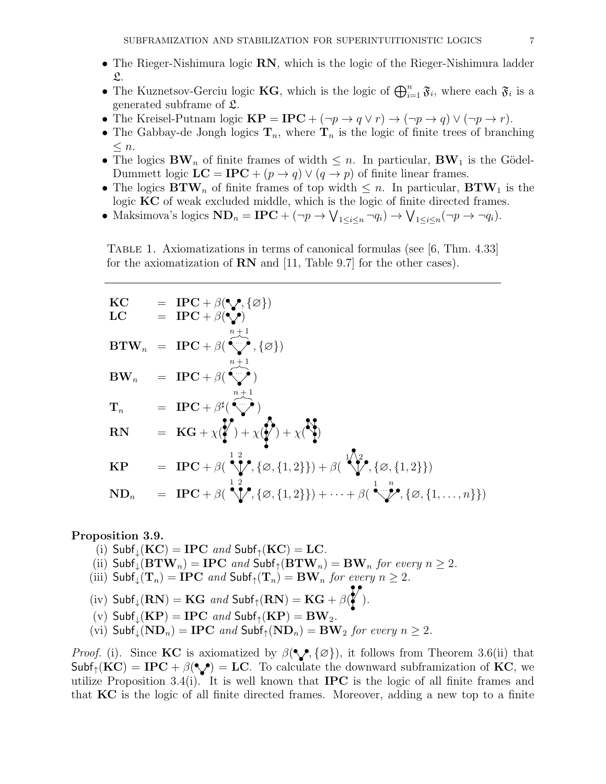- The Rieger-Nishimura logic RN, which is the logic of the Rieger-Nishimura ladder  $\mathfrak{L}.$
- The Kuznetsov-Gerciu logic **KG**, which is the logic of  $\bigoplus_{i=1}^n \mathfrak{F}_i$ , where each  $\mathfrak{F}_i$  is a generated subframe of L.
- The Kreisel-Putnam logic  $\mathbf{KP} = \mathbf{IPC} + (\neg p \rightarrow q \lor r) \rightarrow (\neg p \rightarrow q) \lor (\neg p \rightarrow r)$ .
- The Gabbay-de Jongh logics  $\mathbf{T}_n$ , where  $\mathbf{T}_n$  is the logic of finite trees of branching  $\leq n$ .
- The logics  $\mathbf{BW}_n$  of finite frames of width  $\leq n$ . In particular,  $\mathbf{BW}_1$  is the Gödel-Dummett logic  $LC = IPC + (p \rightarrow q) \vee (q \rightarrow p)$  of finite linear frames.
- The logics  $\mathbf{BTW}_n$  of finite frames of top width  $\leq n$ . In particular,  $\mathbf{BTW}_1$  is the logic KC of weak excluded middle, which is the logic of finite directed frames.
- Maksimova's logics  $\mathbf{ND}_n = \mathbf{IPC} + (\neg p \to \bigvee_{1 \leq i \leq n} \neg q_i) \to \bigvee_{1 \leq i \leq n} (\neg p \to \neg q_i).$

Table 1. Axiomatizations in terms of canonical formulas (see [6, Thm. 4.33] for the axiomatization of RN and [11, Table 9.7] for the other cases).

| KC<br>${LC}$           | $= \text{IPC} + \beta(\mathcal{P}, \{\varnothing\})$<br>= $\text{IPC} + \beta(\mathbf{V})$                                                                     |
|------------------------|----------------------------------------------------------------------------------------------------------------------------------------------------------------|
|                        | $\label{eq:BTW} \mathbf{BTW}_n \;\; = \;\; \mathbf{IPC} + \beta(\overbrace{\mathbb{Q}^*}, \{\varnothing\})$                                                    |
|                        | $\mathbf{BW}_n = \mathbf{IPC} + \beta(\overbrace{\mathbf{W}}^{n+1})$                                                                                           |
|                        | $\mathbf{T}_n$ = IPC + $\beta^{\sharp}(\overbrace{\cdots}^{n+1})$                                                                                              |
| <b>RN</b>              | = $\mathbf{KG} + \chi(\boldsymbol{Y}) + \chi(\boldsymbol{Y}) + \chi(\boldsymbol{Y})$                                                                           |
| $\mathbf{K}\mathbf{P}$ | = IPC + $\beta(\sqrt[1,2]{\ell}, {\varnothing}, {1,2}) + \beta(\sqrt[1,2]{\ell}, {\varnothing}, {1,2})$                                                        |
| $ND_n$                 | $= \text{IPC} + \beta\left(\sqrt[1]{\bullet}, {\varnothing}, \{1,2\}\}\right) + \cdots + \beta\left(\sqrt[1]{\bullet}, {\varnothing}, \{1,\ldots,n\}\}\right)$ |

### Proposition 3.9.

- (i)  $Subf_1(KC) = IPC$  and  $Subf_1(KC) = LC$ .
- (ii)  $\text{Subf}_{\downarrow}(\text{BTW}_n) = \text{IPC}$  and  $\text{Subf}_{\uparrow}(\text{BTW}_n) = \text{BW}_n$  for every  $n \geq 2$ .
- (iii)  $\mathsf{Subf}_{\downarrow}(\mathbf{T}_n) = \mathbf{IPC}$  and  $\mathsf{Subf}_{\uparrow}(\mathbf{T}_n) = \mathbf{BW}_n$  for every  $n \geq 2$ .
- (iv)  $\text{Subf}_{\downarrow}(\mathbf{RN}) = \mathbf{KG}$  and  $\text{Subf}_{\uparrow}(\mathbf{RN}) = \mathbf{KG} + \beta(\sum_{i=1}^{N} \mathbf{R}^i)$ .

(v) Subf<sub>$$
\downarrow
$$</sub>(KP) = IPC and Subf <sub>$\uparrow$</sub> (KP) = BW<sub>2</sub>.

(vi)  $\mathsf{Subf}_\downarrow(\mathbf{ND}_n) = \mathbf{IPC}$  and  $\mathsf{Subf}_\uparrow(\mathbf{ND}_n) = \mathbf{BW}_2$  for every  $n \geq 2$ .

*Proof.* (i). Since **KC** is axiomatized by  $\beta(\mathcal{C}, \{\emptyset\})$ , it follows from Theorem 3.6(ii) that  $\mathsf{Subf}_{\uparrow}(\mathbf{KC}) = \mathbf{IPC} + \beta(\mathbf{C}) = \mathbf{LC}$ . To calculate the downward subframization of KC, we utilize Proposition 3.4(i). It is well known that **IPC** is the logic of all finite frames and that KC is the logic of all finite directed frames. Moreover, adding a new top to a finite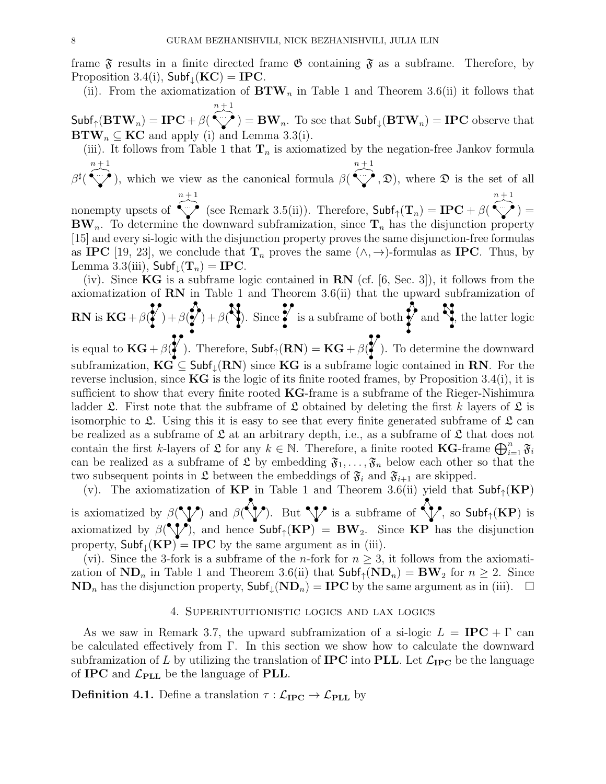frame  $\mathfrak F$  results in a finite directed frame  $\mathfrak G$  containing  $\mathfrak F$  as a subframe. Therefore, by Proposition 3.4(i),  $Subf_{\perp}(KC) = IPC$ .

(ii). From the axiomatization of  $BTW_n$  in Table 1 and Theorem 3.6(ii) it follows that  $n + 1$ 

 $\mathsf{Subf}_{\uparrow}(\mathbf{BTW}_n) = \mathbf{IPC} + \beta(\text{``}\surd\text{''}) = \mathbf{BW}_n.$  To see that  $\mathsf{Subf}_{\downarrow}(\mathbf{BTW}_n) = \mathbf{IPC}$  observe that  $\mathbf{BTW}_n \subseteq \mathbf{KC}$  and apply (i) and Lemma 3.3(i).

(iii). It follows from Table 1 that  $\mathbf{T}_n$  is axiomatized by the negation-free Jankov formula  $n + 1$  $n + 1$ 

 $\beta^\sharp($ ), which we view as the canonical formula  $\beta$  $(0, \mathcal{D})$ , where  $\mathcal D$  is the set of all  $n + 1$  $n + 1$ 

nonempty upsets of (see Remark 3.5(ii)). Therefore,  $\mathsf{Subf}_{\uparrow}(\mathbf{T}_n) = \mathbf{IPC} + \beta$  $) =$  $BW_n$ . To determine the downward subframization, since  $T_n$  has the disjunction property [15] and every si-logic with the disjunction property proves the same disjunction-free formulas as IPC [19, 23], we conclude that  $\mathbf{T}_n$  proves the same  $(\wedge, \rightarrow)$ -formulas as IPC. Thus, by Lemma 3.3(iii),  $\mathsf{Subf}_{\downarrow}(\mathbf{T}_n) = \mathbf{IPC}.$ 

(iv). Since  $KG$  is a subframe logic contained in  $RN$  (cf. [6, Sec. 3]), it follows from the axiomatization of  $RN$  in Table 1 and Theorem 3.6(ii) that the upward subframization of  $\bullet$   $\bullet$ Я  $\bullet$  $\bullet\bullet$ 

$$
\mathbf{RN} \text{ is } \mathbf{KG} + \beta \left( \frac{\mathbf{W}}{\mathbf{A}} \right) + \beta \left( \frac{\mathbf{W}}{\mathbf{A}} \right). \text{ Since } \mathbf{W} \text{ is a subframe of both } \mathbf{W} \text{ and } \mathbf{W}, \text{ the latter logic}
$$

is equal to  $KG + \beta(\ell)$ . Therefore,  $Subf_{\uparrow}(RN) = KG + \beta(\ell)$ . To determine the downward subframization,  $KG \subseteq Subf_{\downarrow}(RN)$  since  $KG$  is a subframe logic contained in RN. For the reverse inclusion, since  $KG$  is the logic of its finite rooted frames, by Proposition 3.4(i), it is sufficient to show that every finite rooted  $KG$ -frame is a subframe of the Rieger-Nishimura ladder  $\mathfrak{L}$ . First note that the subframe of  $\mathfrak L$  obtained by deleting the first k layers of  $\mathfrak L$  is isomorphic to  $\mathfrak{L}$ . Using this it is easy to see that every finite generated subframe of  $\mathfrak{L}$  can be realized as a subframe of  $\mathfrak L$  at an arbitrary depth, i.e., as a subframe of  $\mathfrak L$  that does not contain the first k-layers of  $\mathfrak L$  for any  $k \in \mathbb N$ . Therefore, a finite rooted **KG**-frame  $\bigoplus_{i=1}^n \mathfrak{F}_i$ can be realized as a subframe of  $\mathfrak{L}$  by embedding  $\mathfrak{F}_1, \ldots, \mathfrak{F}_n$  below each other so that the two subsequent points in  $\mathfrak L$  between the embeddings of  $\mathfrak{F}_i$  and  $\mathfrak{F}_{i+1}$  are skipped.

(v). The axiomatization of  $KP$  in Table 1 and Theorem 3.6(ii) yield that  $Subf_{\uparrow}(KP)$ is axiomatized by  $\beta(\sqrt{\ }')$  and  $\beta(\sqrt{\ }')$ . But  $\sqrt{\ }$  is a subframe of  $\sqrt{\ }$ , so Subf<sub>↑</sub>(KP) is axiomatized by  $\beta(\sqrt{\ }')$ , and hence  $\mathsf{Subf}_{\uparrow}(\mathbf{KP}) = \mathbf{BW}_{2}$ . Since  $\mathbf{KP}$  has the disjunction property,  $Subf_1(KP) = IPC$  by the same argument as in (iii).

(vi). Since the 3-fork is a subframe of the *n*-fork for  $n \geq 3$ , it follows from the axiomatization of  $ND_n$  in Table 1 and Theorem 3.6(ii) that  $Subf_1(ND_n) = BW_2$  for  $n \geq 2$ . Since  $ND_n$  has the disjunction property,  $Subf_{\downarrow}(ND_n) = IPC$  by the same argument as in (iii).  $\square$ 

#### 4. Superintuitionistic logics and lax logics

As we saw in Remark 3.7, the upward subframization of a si-logic  $L = IPC + \Gamma$  can be calculated effectively from  $\Gamma$ . In this section we show how to calculate the downward subframization of L by utilizing the translation of **IPC** into **PLL**. Let  $\mathcal{L}_{\text{IPC}}$  be the language of IPC and  $\mathcal{L}_{\rm PLL}$  be the language of PLL.

**Definition 4.1.** Define a translation  $\tau : \mathcal{L}_{\text{IPC}} \to \mathcal{L}_{\text{PLL}}$  by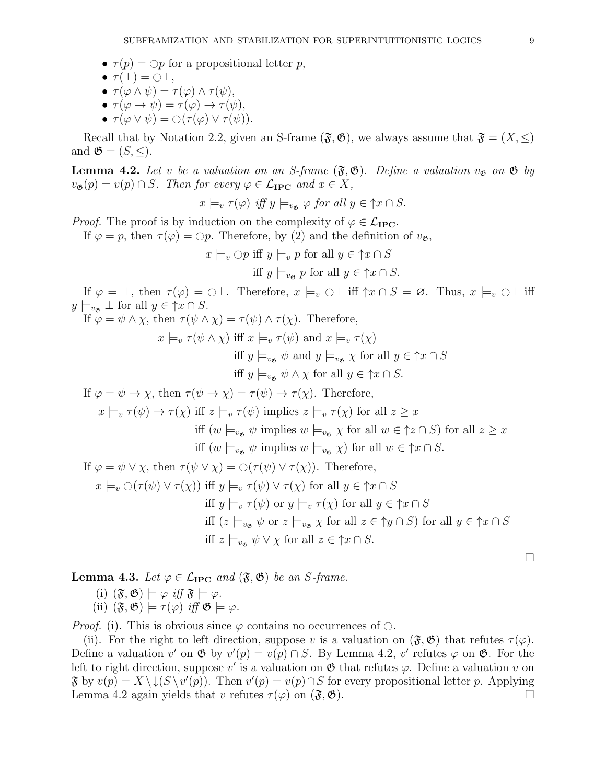- $\tau(p) = \bigcirc p$  for a propositional letter p,
- $\tau(\perp) = \bigcirc \perp$ ,
- $\tau(\varphi \wedge \psi) = \tau(\varphi) \wedge \tau(\psi),$
- $\tau(\varphi \to \psi) = \tau(\varphi) \to \tau(\psi)$ ,
- $\tau(\varphi \vee \psi) = \bigcirc (\tau(\varphi) \vee \tau(\psi)).$

Recall that by Notation 2.2, given an S-frame ( $\mathfrak{F}, \mathfrak{G}$ ), we always assume that  $\mathfrak{F} = (X, \leq)$ and  $\mathfrak{G} = (S, \leq).$ 

**Lemma 4.2.** Let v be a valuation on an S-frame  $(\mathfrak{F}, \mathfrak{G})$ . Define a valuation  $v_{\mathfrak{G}}$  on  $\mathfrak{G}$  by  $v_{\mathfrak{G}}(p) = v(p) \cap S$ . Then for every  $\varphi \in \mathcal{L}_{\text{IPC}}$  and  $x \in X$ ,

$$
x \models_v \tau(\varphi)
$$
 iff  $y \models_{v_{\mathfrak{G}}} \varphi$  for all  $y \in \uparrow x \cap S$ .

*Proof.* The proof is by induction on the complexity of  $\varphi \in \mathcal{L}_{\text{IPC}}$ .

If  $\varphi = p$ , then  $\tau(\varphi) = \bigcirc p$ . Therefore, by (2) and the definition of  $v_{\mathfrak{G}}$ ,

 $x \models_v \bigcirc p$  iff  $y \models_v p$  for all  $y \in \uparrow x \cap S$ iff  $y \models_{v_{\mathfrak{G}}} p$  for all  $y \in \uparrow x \cap S$ .

If  $\varphi = \bot$ , then  $\tau(\varphi) = \bigcirc \bot$ . Therefore,  $x \models_v \bigcirc \bot$  iff  $\uparrow x \cap S = \varnothing$ . Thus,  $x \models_v \bigcirc \bot$  iff  $y \models_{v_{\mathfrak{G}}} \bot$  for all  $y \in \uparrow x \cap S$ .

If  $\varphi = \psi \wedge \chi$ , then  $\tau(\psi \wedge \chi) = \tau(\psi) \wedge \tau(\chi)$ . Therefore,

 $x \models_v \tau(\psi \land \chi)$  iff  $x \models_v \tau(\psi)$  and  $x \models_v \tau(\chi)$ 

iff  $y \models_{v \in \mathcal{V}} \psi$  and  $y \models_{v \in \mathcal{X}} \chi$  for all  $y \in \uparrow x \cap S$ 

iff  $y \models_{v\phi} \psi \wedge \chi$  for all  $y \in \uparrow x \cap S$ .

If  $\varphi = \psi \to \chi$ , then  $\tau(\psi \to \chi) = \tau(\psi) \to \tau(\chi)$ . Therefore,

 $x \models_v \tau(\psi) \rightarrow \tau(\chi)$  iff  $z \models_v \tau(\psi)$  implies  $z \models_v \tau(\chi)$  for all  $z \geq x$ 

iff  $(w \models_{v_{\mathfrak{G}}} \psi$  implies  $w \models_{v_{\mathfrak{G}}} \chi$  for all  $w \in \uparrow z \cap S$ ) for all  $z \geq x$ 

iff  $(w \models_{v\phi} \psi \text{ implies } w \models_{v\phi} \chi)$  for all  $w \in \uparrow x \cap S$ .

If  $\varphi = \psi \vee \chi$ , then  $\tau(\psi \vee \chi) = \bigcirc (\tau(\psi) \vee \tau(\chi))$ . Therefore,

$$
x \models_v \bigcirc (\tau(\psi) \lor \tau(\chi)) \text{ iff } y \models_v \tau(\psi) \lor \tau(\chi) \text{ for all } y \in \uparrow x \cap S
$$
  
iff  $y \models_v \tau(\psi) \text{ or } y \models_v \tau(\chi) \text{ for all } y \in \uparrow x \cap S$   
iff  $(z \models_{v_{\mathfrak{G}}} \psi \text{ or } z \models_{v_{\mathfrak{G}}} \chi \text{ for all } z \in \uparrow y \cap S)$  for all  $y \in \uparrow x \cap S$   
iff  $z \models_{v_{\mathfrak{G}}} \psi \lor \chi \text{ for all } z \in \uparrow x \cap S$ .

 $\Box$ 

**Lemma 4.3.** Let  $\varphi \in \mathcal{L}_{\text{IPC}}$  and  $(\mathfrak{F}, \mathfrak{G})$  be an *S*-frame.

(i) 
$$
(\mathfrak{F}, \mathfrak{G}) \models \varphi \text{ iff } \mathfrak{F} \models \varphi
$$
.  
\n(ii)  $(\mathfrak{F}, \mathfrak{G}) \models \tau(\varphi) \text{ iff } \mathfrak{G} \models \varphi$ .

*Proof.* (i). This is obvious since  $\varphi$  contains no occurrences of  $\circ$ .

(ii). For the right to left direction, suppose v is a valuation on  $(\mathfrak{F}, \mathfrak{G})$  that refutes  $\tau(\varphi)$ . Define a valuation v' on  $\mathfrak{G}$  by  $v'(p) = v(p) \cap S$ . By Lemma 4.2, v' refutes  $\varphi$  on  $\mathfrak{G}$ . For the left to right direction, suppose  $v'$  is a valuation on  $\mathfrak{G}$  that refutes  $\varphi$ . Define a valuation v on  $\mathfrak{F}$  by  $v(p) = X \setminus \downarrow (S \setminus v'(p))$ . Then  $v'(p) = v(p) \cap S$  for every propositional letter p. Applying Lemma 4.2 again yields that v refutes  $\tau(\varphi)$  on  $(\mathfrak{F}, \mathfrak{G})$ .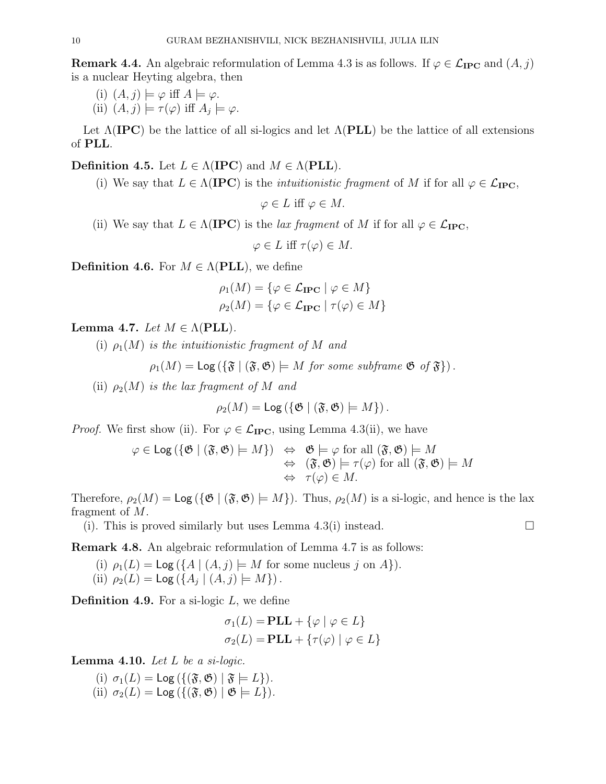**Remark 4.4.** An algebraic reformulation of Lemma 4.3 is as follows. If  $\varphi \in \mathcal{L}_{\text{IPC}}$  and  $(A, j)$ is a nuclear Heyting algebra, then

- (i)  $(A, j) \models \varphi$  iff  $A \models \varphi$ .
- (ii)  $(A, j) \models \tau(\varphi)$  iff  $A_j \models \varphi$ .

Let  $\Lambda(\text{IPC})$  be the lattice of all si-logics and let  $\Lambda(\text{PLL})$  be the lattice of all extensions of PLL.

Definition 4.5. Let  $L \in \Lambda(\text{IPC})$  and  $M \in \Lambda(\text{PLL})$ .

(i) We say that  $L \in \Lambda(\text{IPC})$  is the *intuitionistic fragment* of M if for all  $\varphi \in \mathcal{L}_{\text{IPC}}$ ,

 $\varphi \in L$  iff  $\varphi \in M$ .

(ii) We say that  $L \in \Lambda(\text{IPC})$  is the *lax fragment* of M if for all  $\varphi \in \mathcal{L}_{\text{IPC}}$ ,

 $\varphi \in L$  iff  $\tau(\varphi) \in M$ .

**Definition 4.6.** For  $M \in \Lambda(\text{PLL})$ , we define

$$
\rho_1(M) = \{ \varphi \in \mathcal{L}_{\mathbf{IPC}} \mid \varphi \in M \}
$$

$$
\rho_2(M) = \{ \varphi \in \mathcal{L}_{\mathbf{IPC}} \mid \tau(\varphi) \in M \}
$$

Lemma 4.7. Let  $M \in \Lambda(\text{PLL})$ .

(i)  $\rho_1(M)$  is the intuitionistic fragment of M and

 $\rho_1(M) = \text{Log}(\{\mathfrak{F} \mid (\mathfrak{F}, \mathfrak{G}) \models M \text{ for some subframe } \mathfrak{G} \text{ of } \mathfrak{F}\}).$ 

(ii)  $\rho_2(M)$  is the lax fragment of M and

$$
\rho_2(M) = \text{Log}\left(\{\mathfrak{G} \mid (\mathfrak{F}, \mathfrak{G}) \models M\}\right).
$$

*Proof.* We first show (ii). For  $\varphi \in \mathcal{L}_{\text{IPC}}$ , using Lemma 4.3(ii), we have

$$
\varphi \in \text{Log}(\{\mathfrak{G} \mid (\mathfrak{F}, \mathfrak{G}) \models M\}) \Leftrightarrow \mathfrak{G} \models \varphi \text{ for all } (\mathfrak{F}, \mathfrak{G}) \models M
$$
  

$$
\Leftrightarrow (\mathfrak{F}, \mathfrak{G}) \models \tau(\varphi) \text{ for all } (\mathfrak{F}, \mathfrak{G}) \models M
$$
  

$$
\Leftrightarrow \tau(\varphi) \in M.
$$

Therefore,  $\rho_2(M) = \text{Log}(\{\mathfrak{G} \mid (\mathfrak{F}, \mathfrak{G}) \models M\})$ . Thus,  $\rho_2(M)$  is a si-logic, and hence is the lax fragment of M.

(i). This is proved similarly but uses Lemma 4.3(i) instead.  $\square$ 

Remark 4.8. An algebraic reformulation of Lemma 4.7 is as follows:

(i)  $\rho_1(L) = \text{Log}(\{A \mid (A, j) \models M \text{ for some nucleus } j \text{ on } A\}).$ (ii)  $\rho_2(L) = \text{Log}(\{A_j | (A, j) \models M\})$ .

**Definition 4.9.** For a si-logic  $L$ , we define

$$
\sigma_1(L) = \mathbf{PLL} + \{ \varphi \mid \varphi \in L \}
$$

$$
\sigma_2(L) = \mathbf{PLL} + \{ \tau(\varphi) \mid \varphi \in L \}
$$

**Lemma 4.10.** Let  $L$  be a si-logic.

(i)  $\sigma_1(L) = \text{Log}(\{(\mathfrak{F}, \mathfrak{G}) \mid \mathfrak{F} \models L\}).$ (ii)  $\sigma_2(L) = \text{Log}(\{(\mathfrak{F}, \mathfrak{G}) \mid \mathfrak{G} \models L\}).$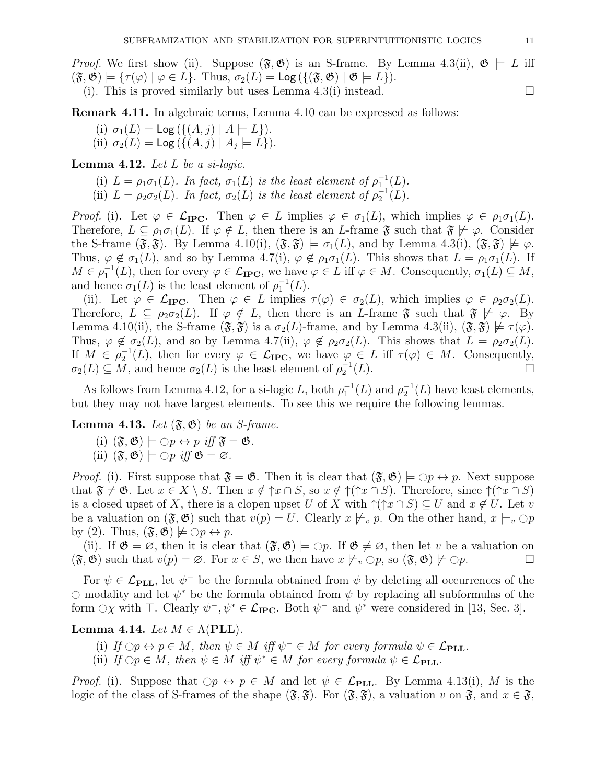*Proof.* We first show (ii). Suppose  $(\mathfrak{F}, \mathfrak{G})$  is an S-frame. By Lemma 4.3(ii),  $\mathfrak{G} \models L$  iff  $(\mathfrak{F}, \mathfrak{G}) \models {\tau(\varphi) \mid \varphi \in L}.$  Thus,  $\sigma_2(L) = \text{Log}({\{\mathfrak{F}, \mathfrak{G}\} \mid \mathfrak{G} \models L}).$ 

(i). This is proved similarly but uses Lemma 4.3(i) instead.  $\square$ 

Remark 4.11. In algebraic terms, Lemma 4.10 can be expressed as follows:

(i)  $\sigma_1(L) = \text{Log}(\{(A, j) | A \models L\}).$ (ii)  $\sigma_2(L) = \text{Log}(\{(A, j) | A_j \models L\}).$ 

**Lemma 4.12.** Let  $L$  be a si-logic.

- (i)  $L = \rho_1 \sigma_1(L)$ . In fact,  $\sigma_1(L)$  is the least element of  $\rho_1^{-1}(L)$ .
- (ii)  $L = \rho_2 \sigma_2(L)$ . In fact,  $\sigma_2(L)$  is the least element of  $\rho_2^{-1}(L)$ .

Proof. (i). Let  $\varphi \in \mathcal{L}_{\text{IPC}}$ . Then  $\varphi \in L$  implies  $\varphi \in \sigma_1(L)$ , which implies  $\varphi \in \rho_1 \sigma_1(L)$ . Therefore,  $L \subseteq \rho_1 \sigma_1(L)$ . If  $\varphi \notin L$ , then there is an L-frame  $\mathfrak{F}$  such that  $\mathfrak{F} \not\models \varphi$ . Consider the S-frame  $(\mathfrak{F}, \mathfrak{F})$ . By Lemma 4.10(i),  $(\mathfrak{F}, \mathfrak{F}) \models \sigma_1(L)$ , and by Lemma 4.3(i),  $(\mathfrak{F}, \mathfrak{F}) \not\models \varphi$ . Thus,  $\varphi \notin \sigma_1(L)$ , and so by Lemma 4.7(i),  $\varphi \notin \rho_1 \sigma_1(L)$ . This shows that  $L = \rho_1 \sigma_1(L)$ . If  $M \in \rho_1^{-1}(L)$ , then for every  $\varphi \in \mathcal{L}_{\text{IPC}}$ , we have  $\varphi \in L$  iff  $\varphi \in M$ . Consequently,  $\sigma_1(L) \subseteq M$ , and hence  $\sigma_1(L)$  is the least element of  $\rho_1^{-1}(L)$ .

(ii). Let  $\varphi \in \mathcal{L}_{\text{IPC}}$ . Then  $\varphi \in L$  implies  $\tau(\varphi) \in \sigma_2(L)$ , which implies  $\varphi \in \rho_2 \sigma_2(L)$ . Therefore,  $L \subseteq \rho_2\sigma_2(L)$ . If  $\varphi \notin L$ , then there is an L-frame  $\mathfrak{F}$  such that  $\mathfrak{F} \not\models \varphi$ . By Lemma 4.10(ii), the S-frame  $(\mathfrak{F}, \mathfrak{F})$  is a  $\sigma_2(L)$ -frame, and by Lemma 4.3(ii),  $(\mathfrak{F}, \mathfrak{F}) \not\models \tau(\varphi)$ . Thus,  $\varphi \notin \sigma_2(L)$ , and so by Lemma 4.7(ii),  $\varphi \notin \rho_2 \sigma_2(L)$ . This shows that  $L = \rho_2 \sigma_2(L)$ . If  $M \in \rho_2^{-1}(L)$ , then for every  $\varphi \in \mathcal{L}_{\text{IPC}}$ , we have  $\varphi \in L$  iff  $\tau(\varphi) \in M$ . Consequently,  $\sigma_2(L) \subseteq M$ , and hence  $\sigma_2(L)$  is the least element of  $\rho_2^{-1}(L)$ .

As follows from Lemma 4.12, for a si-logic L, both  $\rho_1^{-1}(L)$  and  $\rho_2^{-1}(L)$  have least elements, but they may not have largest elements. To see this we require the following lemmas.

**Lemma 4.13.** Let  $(\mathfrak{F}, \mathfrak{G})$  be an *S*-frame.

- (i)  $(\mathfrak{F}, \mathfrak{G}) \models \bigcirc p \leftrightarrow p \iff \mathfrak{F} = \mathfrak{G}.$
- (ii)  $(\mathfrak{F}, \mathfrak{G}) \models \bigcirc p$  iff  $\mathfrak{G} = \emptyset$ .

*Proof.* (i). First suppose that  $\mathfrak{F} = \mathfrak{G}$ . Then it is clear that  $(\mathfrak{F}, \mathfrak{G}) \models \bigcirc p \leftrightarrow p$ . Next suppose that  $\mathfrak{F} \neq \mathfrak{G}$ . Let  $x \in X \setminus S$ . Then  $x \notin \mathfrak{f}x \cap S$ , so  $x \notin \mathfrak{f}(\mathfrak{f}x \cap S)$ . Therefore, since  $\mathfrak{f}(\mathfrak{f}x \cap S)$ is a closed upset of X, there is a clopen upset U of X with  $\uparrow(\uparrow x \cap S) \subseteq U$  and  $x \notin U$ . Let v be a valuation on  $(\mathfrak{F}, \mathfrak{G})$  such that  $v(p) = U$ . Clearly  $x \not\models_v p$ . On the other hand,  $x \models_v \bigcirc p$ by (2). Thus,  $(\mathfrak{F}, \mathfrak{G}) \not\models \bigcirc p \leftrightarrow p$ .

(ii). If  $\mathfrak{G} = \emptyset$ , then it is clear that  $(\mathfrak{F}, \mathfrak{G}) \models \bigcirc p$ . If  $\mathfrak{G} \neq \emptyset$ , then let v be a valuation on  $(\mathfrak{F}, \mathfrak{G})$  such that  $v(p) = \emptyset$ . For  $x \in S$ , we then have  $x \not\models_v \bigcirc p$ , so  $(\mathfrak{F}, \mathfrak{G}) \not\models \bigcirc p$  $(\mathfrak{F}, \mathfrak{G})$  such that  $v(p) = \emptyset$ . For  $x \in S$ , we then have  $x \not\models_v \bigcirc p$ , so  $(\mathfrak{F}, \mathfrak{G}) \not\models \bigcirc p$ .

For  $\psi \in \mathcal{L}_{\text{PLL}}$ , let  $\psi^-$  be the formula obtained from  $\psi$  by deleting all occurrences of the  $\circ$  modality and let  $\psi^*$  be the formula obtained from  $\psi$  by replacing all subformulas of the form  $\bigcirc \chi$  with  $\top$ . Clearly  $\psi^-$ ,  $\psi^* \in \mathcal{L}_{\text{IPC}}$ . Both  $\psi^-$  and  $\psi^*$  were considered in [13, Sec. 3].

## Lemma 4.14. Let  $M \in \Lambda(\text{PLL})$ .

- (i) If  $\bigcirc p \leftrightarrow p \in M$ , then  $\psi \in M$  iff  $\psi^- \in M$  for every formula  $\psi \in \mathcal{L}_{\text{PLL}}$ .
- (ii) If  $\bigcirc p \in M$ , then  $\psi \in M$  iff  $\psi^* \in M$  for every formula  $\psi \in \mathcal{L}_{\text{PLL}}$ .

*Proof.* (i). Suppose that  $\bigcirc p \leftrightarrow p \in M$  and let  $\psi \in \mathcal{L}_{\text{PLL}}$ . By Lemma 4.13(i), M is the logic of the class of S-frames of the shape  $(\mathfrak{F}, \mathfrak{F})$ . For  $(\mathfrak{F}, \mathfrak{F})$ , a valuation v on  $\mathfrak{F}$ , and  $x \in \mathfrak{F}$ ,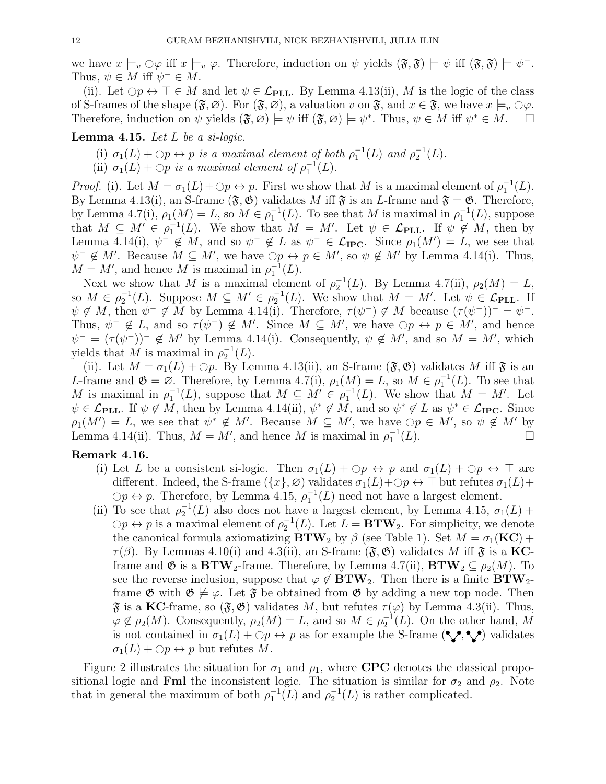we have  $x \models_v \bigcirc \varphi$  iff  $x \models_v \varphi$ . Therefore, induction on  $\psi$  yields  $(\mathfrak{F}, \mathfrak{F}) \models \psi$  iff  $(\mathfrak{F}, \mathfrak{F}) \models \psi^-$ . Thus,  $\psi \in M$  iff  $\psi^- \in M$ .

(ii). Let  $\bigcirc p \leftrightarrow \top \in M$  and let  $\psi \in \mathcal{L}_{\text{PLL}}$ . By Lemma 4.13(ii), M is the logic of the class of S-frames of the shape  $(\mathfrak{F}, \varnothing)$ . For  $(\mathfrak{F}, \varnothing)$ , a valuation v on  $\mathfrak{F}$ , and  $x \in \mathfrak{F}$ , we have  $x \models_{v} \bigcirc \varphi$ .<br>Therefore, induction on  $\psi$  vields  $(\mathfrak{F}, \varnothing) \models \psi$  iff  $(\mathfrak{F}, \varnothing) \models \psi^*$ . Thus,  $\psi \in M$ Therefore, induction on  $\psi$  yields  $(\mathfrak{F}, \varnothing) \models \psi$  iff  $(\mathfrak{F}, \varnothing) \models \psi^*$ . Thus,  $\psi \in M$  iff  $\psi^* \in M$ .

**Lemma 4.15.** Let  $L$  be a si-logic.

- (i)  $\sigma_1(L) + \bigcirc p \leftrightarrow p$  is a maximal element of both  $\rho_1^{-1}(L)$  and  $\rho_2^{-1}(L)$ .
- (ii)  $\sigma_1(L) + \bigcirc p$  is a maximal element of  $\rho_1^{-1}(L)$ .

Proof. (i). Let  $M = \sigma_1(L) + \bigcirc p \leftrightarrow p$ . First we show that M is a maximal element of  $\rho_1^{-1}(L)$ . By Lemma 4.13(i), an S-frame  $(\mathfrak{F}, \mathfrak{G})$  validates M iff  $\mathfrak{F}$  is an L-frame and  $\mathfrak{F} = \mathfrak{G}$ . Therefore, by Lemma 4.7(i),  $\rho_1(M) = L$ , so  $M \in \rho_1^{-1}(L)$ . To see that M is maximal in  $\rho_1^{-1}(L)$ , suppose that  $M \subseteq M' \in \rho_1^{-1}(L)$ . We show that  $M = M'$ . Let  $\psi \in \mathcal{L}_{\text{PLL}}$ . If  $\psi \notin M$ , then by Lemma 4.14(i),  $\psi^- \notin M$ , and so  $\psi^- \notin L$  as  $\psi^- \in \mathcal{L}_{\text{IPC}}$ . Since  $\rho_1(M') = L$ , we see that  $\psi^- \notin M'$ . Because  $M \subseteq M'$ , we have  $\bigcirc p \leftrightarrow p \in M'$ , so  $\psi \notin M'$  by Lemma 4.14(i). Thus,  $M = M'$ , and hence M is maximal in  $\rho_1^{-1}(L)$ .

Next we show that M is a maximal element of  $\rho_2^{-1}(L)$ . By Lemma 4.7(ii),  $\rho_2(M) = L$ , so  $M \in \rho_2^{-1}(L)$ . Suppose  $M \subseteq M' \in \rho_2^{-1}(L)$ . We show that  $M = M'$ . Let  $\psi \in \mathcal{L}_{\text{PLL}}$ . If  $\psi \notin M$ , then  $\psi^- \notin M$  by Lemma 4.14(i). Therefore,  $\tau(\psi^-) \notin M$  because  $(\tau(\psi^-))^- = \psi^-$ . Thus,  $\psi^- \notin L$ , and so  $\tau(\psi^-) \notin M'$ . Since  $M \subseteq M'$ , we have  $\bigcirc p \leftrightarrow p \in M'$ , and hence  $\psi^- = (\tau(\psi^-))^-\notin M'$  by Lemma 4.14(i). Consequently,  $\psi \notin M'$ , and so  $M = M'$ , which yields that M is maximal in  $\rho_2^{-1}(L)$ .

(ii). Let  $M = \sigma_1(L) + \mathcal{O}p$ . By Lemma 4.13(ii), an S-frame  $(\mathfrak{F}, \mathfrak{G})$  validates M iff  $\mathfrak{F}$  is an L-frame and  $\mathfrak{G} = \varnothing$ . Therefore, by Lemma 4.7(i),  $\rho_1(M) = L$ , so  $M \in \rho_1^{-1}(L)$ . To see that M is maximal in  $\rho_1^{-1}(L)$ , suppose that  $M \subseteq M' \in \rho_1^{-1}(L)$ . We show that  $M = M'$ . Let  $\psi \in \mathcal{L}_{\text{PLL}}$ . If  $\psi \notin M$ , then by Lemma 4.14(ii),  $\psi^* \notin M$ , and so  $\psi^* \notin L$  as  $\psi^* \in \mathcal{L}_{\text{IPC}}$ . Since  $\rho_1(M') = L$ , we see that  $\psi^* \notin M'$ . Because  $M \subseteq M'$ , we have  $\bigcirc p \in M'$ , so  $\psi \notin M'$  by Lemma 4.14(ii). Thus,  $M = M'$ , and hence M is maximal in  $\rho_1^{-1}(L)$ .

# Remark 4.16.

- (i) Let L be a consistent si-logic. Then  $\sigma_1(L) + \bigcirc p \leftrightarrow p$  and  $\sigma_1(L) + \bigcirc p \leftrightarrow \top$  are different. Indeed, the S-frame  $(\{x\}, \varnothing)$  validates  $\sigma_1(L) + \bigcirc p \leftrightarrow \top$  but refutes  $\sigma_1(L)$ +  $\bigcirc p \leftrightarrow p$ . Therefore, by Lemma 4.15,  $\rho_1^{-1}(L)$  need not have a largest element.
- (ii) To see that  $\rho_2^{-1}(L)$  also does not have a largest element, by Lemma 4.15,  $\sigma_1(L)$  +  $\Diamond p \leftrightarrow p$  is a maximal element of  $\rho_2^{-1}(L)$ . Let  $L = \mathbf{BTW}_2$ . For simplicity, we denote the canonical formula axiomatizing  $\mathbf{BTW}_2$  by  $\beta$  (see Table 1). Set  $M = \sigma_1(\mathbf{KC}) +$  $\tau(\beta)$ . By Lemmas 4.10(i) and 4.3(ii), an S-frame  $(\mathfrak{F}, \mathfrak{G})$  validates M iff  $\mathfrak{F}$  is a KCframe and  $\mathfrak{G}$  is a  $\text{BTW}_2$ -frame. Therefore, by Lemma 4.7(ii),  $\text{BTW}_2 \subseteq \rho_2(M)$ . To see the reverse inclusion, suppose that  $\varphi \notin \mathbf{BTW}_2$ . Then there is a finite  $\mathbf{BTW}_2$ frame  $\mathfrak{G}$  with  $\mathfrak{G} \not\models \varphi$ . Let  $\mathfrak{F}$  be obtained from  $\mathfrak{G}$  by adding a new top node. Then  $\mathfrak F$  is a KC-frame, so  $(\mathfrak F, \mathfrak G)$  validates M, but refutes  $\tau(\varphi)$  by Lemma 4.3(ii). Thus,  $\varphi \notin \rho_2(M)$ . Consequently,  $\rho_2(M) = L$ , and so  $M \in \rho_2^{-1}(L)$ . On the other hand, M is not contained in  $\sigma_1(L) + \bigcirc p \leftrightarrow p$  as for example the S-frame  $(\lozenge, \lozenge)$  validates  $\sigma_1(L) + \bigcirc p \leftrightarrow p$  but refutes M.

Figure 2 illustrates the situation for  $\sigma_1$  and  $\rho_1$ , where CPC denotes the classical propositional logic and Fml the inconsistent logic. The situation is similar for  $\sigma_2$  and  $\rho_2$ . Note that in general the maximum of both  $\rho_1^{-1}(L)$  and  $\rho_2^{-1}(L)$  is rather complicated.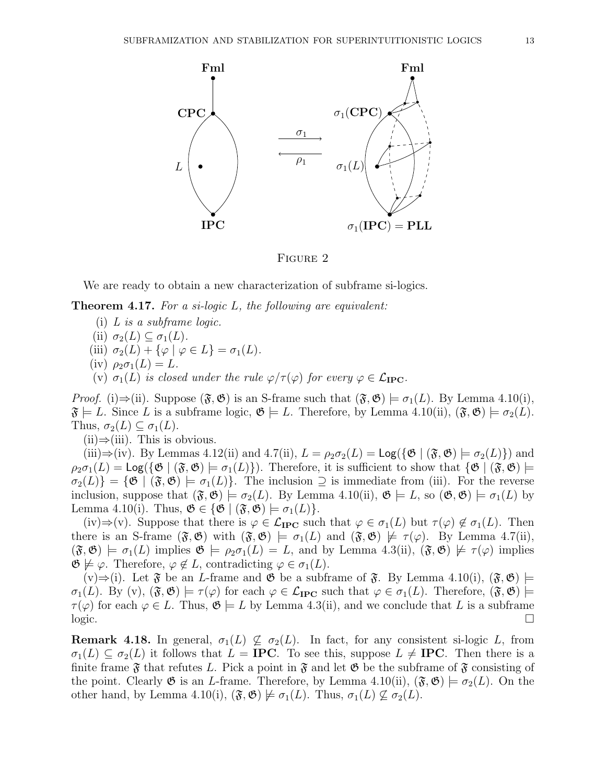

FIGURE 2

We are ready to obtain a new characterization of subframe si-logics.

**Theorem 4.17.** For a si-logic  $L$ , the following are equivalent:

- (i) L is a subframe logic.
- (ii)  $\sigma_2(L) \subseteq \sigma_1(L)$ .
- (iii)  $\sigma_2(L) + {\varphi \mid \varphi \in L} = \sigma_1(L)$ .
- (iv)  $\rho_2 \sigma_1(L) = L$ .
- (v)  $\sigma_1(L)$  is closed under the rule  $\varphi/\tau(\varphi)$  for every  $\varphi \in \mathcal{L}_{\text{IPC}}$ .

*Proof.* (i)⇒(ii). Suppose  $(\mathfrak{F}, \mathfrak{G})$  is an S-frame such that  $(\mathfrak{F}, \mathfrak{G}) \models \sigma_1(L)$ . By Lemma 4.10(i),  $\mathfrak{F} \models L$ . Since L is a subframe logic,  $\mathfrak{G} \models L$ . Therefore, by Lemma 4.10(ii),  $(\mathfrak{F}, \mathfrak{G}) \models \sigma_2(L)$ . Thus,  $\sigma_2(L) \subseteq \sigma_1(L)$ .

 $(ii) \Rightarrow (iii)$ . This is obvious.

(iii)⇒(iv). By Lemmas 4.12(ii) and 4.7(ii),  $L = \rho_2 \sigma_2(L) = \text{Log}(\{\mathfrak{G} \mid (\mathfrak{F}, \mathfrak{G}) \models \sigma_2(L)\})$  and  $\rho_2\sigma_1(L) = \text{Log}(\{\mathfrak{G} \mid (\mathfrak{F}, \mathfrak{G}) \models \sigma_1(L)\})$ . Therefore, it is sufficient to show that  $\{\mathfrak{G} \mid (\mathfrak{F}, \mathfrak{G}) \models$  $\sigma_2(L)$  = { $\mathfrak{G} \mid (\mathfrak{F}, \mathfrak{G}) \models \sigma_1(L)$ . The inclusion  $\supseteq$  is immediate from (iii). For the reverse inclusion, suppose that  $(\mathfrak{F},\mathfrak{G}) \models \sigma_2(L)$ . By Lemma 4.10(ii),  $\mathfrak{G} \models L$ , so  $(\mathfrak{G},\mathfrak{G}) \models \sigma_1(L)$  by Lemma 4.10(i). Thus,  $\mathfrak{G} \in {\mathfrak{G} \mid (\mathfrak{F}, \mathfrak{G}) \models \sigma_1(L)}.$ 

(iv)⇒(v). Suppose that there is  $\varphi \in \mathcal{L}_{\text{IPC}}$  such that  $\varphi \in \sigma_1(L)$  but  $\tau(\varphi) \notin \sigma_1(L)$ . Then there is an S-frame  $(\mathfrak{F}, \mathfrak{G})$  with  $(\mathfrak{F}, \mathfrak{G}) \models \sigma_1(L)$  and  $(\mathfrak{F}, \mathfrak{G}) \not\models \tau(\varphi)$ . By Lemma 4.7(ii),  $(\mathfrak{F},\mathfrak{G}) \models \sigma_1(L)$  implies  $\mathfrak{G} \models \rho_2\sigma_1(L) = L$ , and by Lemma 4.3(ii),  $(\mathfrak{F},\mathfrak{G}) \not\models \tau(\varphi)$  implies  $\mathfrak{G} \not\models \varphi$ . Therefore,  $\varphi \not\in L$ , contradicting  $\varphi \in \sigma_1(L)$ .

 $(v) \Rightarrow$  (i). Let  $\mathfrak F$  be an L-frame and  $\mathfrak G$  be a subframe of  $\mathfrak F$ . By Lemma 4.10(i),  $(\mathfrak F, \mathfrak G)$   $\models$  $\sigma_1(L)$ . By (v),  $(\mathfrak{F}, \mathfrak{G}) \models \tau(\varphi)$  for each  $\varphi \in \mathcal{L}_{\text{IPC}}$  such that  $\varphi \in \sigma_1(L)$ . Therefore,  $(\mathfrak{F}, \mathfrak{G}) \models$  $\tau(\varphi)$  for each  $\varphi \in L$ . Thus,  $\mathfrak{G} \models L$  by Lemma 4.3(ii), and we conclude that L is a subframe  $logic.$ 

**Remark 4.18.** In general,  $\sigma_1(L) \nsubseteq \sigma_2(L)$ . In fact, for any consistent si-logic L, from  $\sigma_1(L) \subset \sigma_2(L)$  it follows that  $L = \text{IPC}$ . To see this, suppose  $L \neq \text{IPC}$ . Then there is a finite frame  $\mathfrak F$  that refutes L. Pick a point in  $\mathfrak F$  and let  $\mathfrak G$  be the subframe of  $\mathfrak F$  consisting of the point. Clearly  $\mathfrak G$  is an *L*-frame. Therefore, by Lemma 4.10(ii),  $(\mathfrak F,\mathfrak G)\models\sigma_2(L)$ . On the other hand, by Lemma 4.10(i),  $(\mathfrak{F}, \mathfrak{G}) \not\models \sigma_1(L)$ . Thus,  $\sigma_1(L) \not\subseteq \sigma_2(L)$ .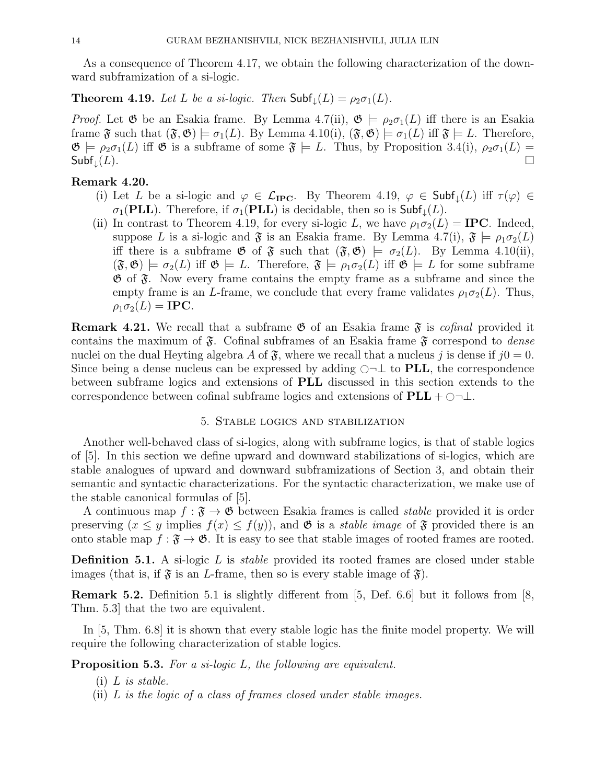As a consequence of Theorem 4.17, we obtain the following characterization of the downward subframization of a si-logic.

**Theorem 4.19.** Let L be a si-logic. Then  $\mathsf{Subf}_{\perp}(L) = \rho_2 \sigma_1(L)$ .

*Proof.* Let  $\mathfrak G$  be an Esakia frame. By Lemma 4.7(ii),  $\mathfrak G \models \rho_2 \sigma_1(L)$  iff there is an Esakia frame  $\mathfrak{F}$  such that  $(\mathfrak{F}, \mathfrak{G}) \models \sigma_1(L)$ . By Lemma 4.10(i),  $(\mathfrak{F}, \mathfrak{G}) \models \sigma_1(L)$  iff  $\mathfrak{F} \models L$ . Therefore,  $\mathfrak{G} \models \rho_2\sigma_1(L)$  iff  $\mathfrak{G}$  is a subframe of some  $\mathfrak{F} \models L$ . Thus, by Proposition 3.4(i),  $\rho_2\sigma_1(L)$  =  $\mathsf{Subf}_\downarrow(L).$   $\Box$ 

### Remark 4.20.

- (i) Let L be a si-logic and  $\varphi \in \mathcal{L}_{\text{IPC}}$ . By Theorem 4.19,  $\varphi \in \text{Subf}_{\downarrow}(L)$  iff  $\tau(\varphi) \in$  $\sigma_1(\mathbf{PLL})$ . Therefore, if  $\sigma_1(\mathbf{PLL})$  is decidable, then so is  $\mathsf{Subf}_\downarrow(L)$ .
- (ii) In contrast to Theorem 4.19, for every si-logic L, we have  $\rho_1 \sigma_2(L) = \text{IPC}$ . Indeed, suppose L is a si-logic and  $\mathfrak F$  is an Esakia frame. By Lemma 4.7(i),  $\mathfrak F \models \rho_1 \sigma_2(L)$ iff there is a subframe  $\mathfrak{G}$  of  $\mathfrak{F}$  such that  $(\mathfrak{F}, \mathfrak{G}) \models \sigma_2(L)$ . By Lemma 4.10(ii),  $(\mathfrak{F},\mathfrak{G}) \models \sigma_2(L)$  iff  $\mathfrak{G} \models L$ . Therefore,  $\mathfrak{F} \models \rho_1 \sigma_2(L)$  iff  $\mathfrak{G} \models L$  for some subframe  $\mathfrak{G}$  of  $\mathfrak{F}$ . Now every frame contains the empty frame as a subframe and since the empty frame is an L-frame, we conclude that every frame validates  $\rho_1 \sigma_2(L)$ . Thus,  $\rho_1 \sigma_2(L) = \text{IPC}.$

**Remark 4.21.** We recall that a subframe  $\mathfrak{G}$  of an Esakia frame  $\mathfrak{F}$  is *cofinal* provided it contains the maximum of  $\mathfrak{F}$ . Cofinal subframes of an Esakia frame  $\mathfrak{F}$  correspond to *dense* nuclei on the dual Heyting algebra A of  $\mathfrak{F}$ , where we recall that a nucleus j is dense if  $j0 = 0$ . Since being a dense nucleus can be expressed by adding  $\bigcirc \neg \bot$  to PLL, the correspondence between subframe logics and extensions of PLL discussed in this section extends to the correspondence between cofinal subframe logics and extensions of  $PLL + \bigcirc \neg \bot$ .

#### 5. Stable logics and stabilization

Another well-behaved class of si-logics, along with subframe logics, is that of stable logics of [5]. In this section we define upward and downward stabilizations of si-logics, which are stable analogues of upward and downward subframizations of Section 3, and obtain their semantic and syntactic characterizations. For the syntactic characterization, we make use of the stable canonical formulas of [5].

A continuous map  $f : \mathfrak{F} \to \mathfrak{G}$  between Esakia frames is called *stable* provided it is order preserving  $(x \leq y$  implies  $f(x) \leq f(y)$ , and  $\mathfrak{G}$  is a *stable image* of  $\mathfrak{F}$  provided there is an onto stable map  $f : \mathfrak{F} \to \mathfrak{G}$ . It is easy to see that stable images of rooted frames are rooted.

**Definition 5.1.** A si-logic  $L$  is *stable* provided its rooted frames are closed under stable images (that is, if  $\mathfrak{F}$  is an L-frame, then so is every stable image of  $\mathfrak{F}$ ).

Remark 5.2. Definition 5.1 is slightly different from [5, Def. 6.6] but it follows from [8, Thm. 5.3] that the two are equivalent.

In [5, Thm. 6.8] it is shown that every stable logic has the finite model property. We will require the following characterization of stable logics.

Proposition 5.3. For a si-logic L, the following are equivalent.

- $(i)$  L is stable.
- (ii)  $L$  is the logic of a class of frames closed under stable images.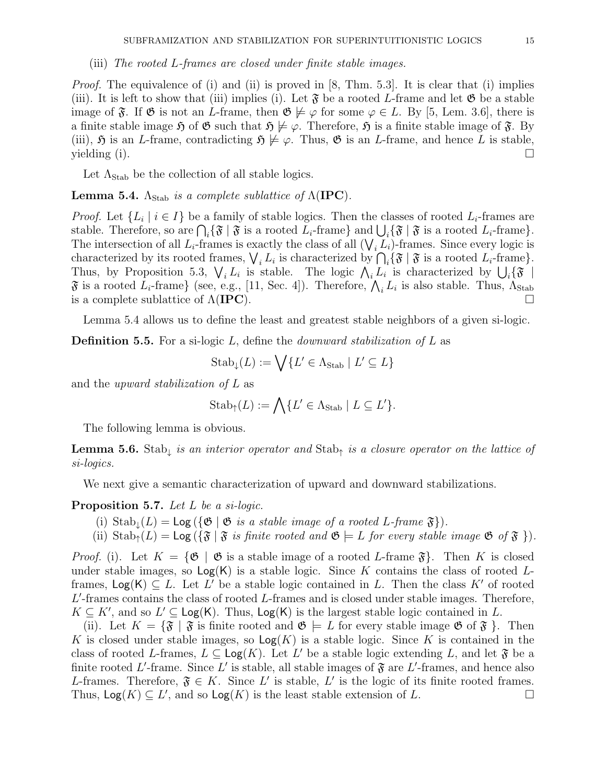*Proof.* The equivalence of (i) and (ii) is proved in [8, Thm. 5.3]. It is clear that (i) implies (iii). It is left to show that (iii) implies (i). Let  $\mathfrak{F}$  be a rooted L-frame and let  $\mathfrak{G}$  be a stable image of  $\mathfrak{F}$ . If  $\mathfrak{G}$  is not an L-frame, then  $\mathfrak{G} \not\models \varphi$  for some  $\varphi \in L$ . By [5, Lem. 3.6], there is a finite stable image  $\mathfrak{H}$  of  $\mathfrak{G}$  such that  $\mathfrak{H} \not\models \varphi$ . Therefore,  $\mathfrak{H}$  is a finite stable image of  $\mathfrak{F}$ . By (iii),  $\mathfrak{H}$  is an L-frame, contradicting  $\mathfrak{H} \not\models \varphi$ . Thus,  $\mathfrak{G}$  is an L-frame, and hence L is stable,  $y$ ielding (i).

Let  $\Lambda_{\text{Stab}}$  be the collection of all stable logics.

**Lemma 5.4.**  $\Lambda_{\text{Stab}}$  is a complete sublattice of  $\Lambda(\text{IPC})$ .

*Proof.* Let  $\{L_i \mid i \in I\}$  be a family of stable logics. Then the classes of rooted  $L_i$ -frames are stable. Therefore, so are  $\bigcap_i {\{\mathfrak{F} \mid \mathfrak{F} \text{ is a rooted } L_i\text{-frame}\}\text{ and } \bigcup_i {\{\mathfrak{F} \mid \mathfrak{F} \text{ is a rooted } L_i\text{-frame}\}}.$ The intersection of all  $L_i$ -frames is exactly the class of all  $(\bigvee_i L_i)$ -frames. Since every logic is characterized by its rooted frames,  $\bigvee_i L_i$  is characterized by  $\bigcap_i {\mathfrak{F}} \mid {\mathfrak{F}}$  is a rooted  $L_i$ -frame}. Thus, by Proposition 5.3,  $\bigvee_i L_i$  is stable. The logic  $\bigwedge_i L_i$  is characterized by  $\bigcup_i {\mathfrak{F}}$  $\mathfrak F$  is a rooted  $L_i$ -frame} (see, e.g., [11, Sec. 4]). Therefore,  $\bigwedge_i L_i$  is also stable. Thus,  $\Lambda_{\operatorname{Stab}}$ is a complete sublattice of  $\Lambda(\text{IPC})$ .

Lemma 5.4 allows us to define the least and greatest stable neighbors of a given si-logic.

**Definition 5.5.** For a si-logic  $L$ , define the *downward stabilization of*  $L$  as

$$
\mathrm{Stab}_{\downarrow}(L) := \bigvee \{ L' \in \Lambda_{\mathrm{Stab}} \mid L' \subseteq L \}
$$

and the upward stabilization of L as

$$
\mathrm{Stab}_{\uparrow}(L) := \bigwedge \{ L' \in \Lambda_{\mathrm{Stab}} \mid L \subseteq L' \}.
$$

The following lemma is obvious.

**Lemma 5.6.** Stab<sub>↓</sub> is an interior operator and Stab<sub>↑</sub> is a closure operator on the lattice of si-logics.

We next give a semantic characterization of upward and downward stabilizations.

### Proposition 5.7. Let L be a si-logic.

- (i)  $\text{Stab}_{\perp}(L) = \text{Log}(\{\mathfrak{G} \mid \mathfrak{G} \text{ is a stable image of a rooted } L\text{-frame }\mathfrak{F}\}).$
- (ii)  $\text{Stab}_{\uparrow}(L) = \text{Log}(\{\mathfrak{F} \mid \mathfrak{F} \text{ is finite rooted and } \mathfrak{G} \models L \text{ for every stable image } \mathfrak{G} \text{ of } \mathfrak{F} \}).$

*Proof.* (i). Let  $K = {\mathfrak{G} \mid \mathfrak{G}}$  is a stable image of a rooted L-frame  $\mathfrak{F}$ . Then K is closed under stable images, so  $Log(K)$  is a stable logic. Since K contains the class of rooted Lframes,  $Log(K) \subseteq L$ . Let L' be a stable logic contained in L. Then the class K' of rooted  $L'$ -frames contains the class of rooted  $L$ -frames and is closed under stable images. Therefore,  $K \subseteq K'$ , and so  $L' \subseteq \mathsf{Log}(K)$ . Thus,  $\mathsf{Log}(K)$  is the largest stable logic contained in L.

(ii). Let  $K = {\mathfrak{F} \mid \mathfrak{F}}$  is finite rooted and  $\mathfrak{G} \models L$  for every stable image  $\mathfrak{G}$  of  $\mathfrak{F} \nbrace$ . Then K is closed under stable images, so  $\textsf{Log}(K)$  is a stable logic. Since K is contained in the class of rooted L-frames,  $L \subseteq \text{Log}(K)$ . Let L' be a stable logic extending L, and let  $\mathfrak{F}$  be a finite rooted L'-frame. Since L' is stable, all stable images of  $\mathfrak{F}$  are L'-frames, and hence also L-frames. Therefore,  $\mathfrak{F} \in K$ . Since L' is stable, L' is the logic of its finite rooted frames. Thus,  $\text{Log}(K) \subseteq L'$ , and so  $\text{Log}(K)$  is the least stable extension of L.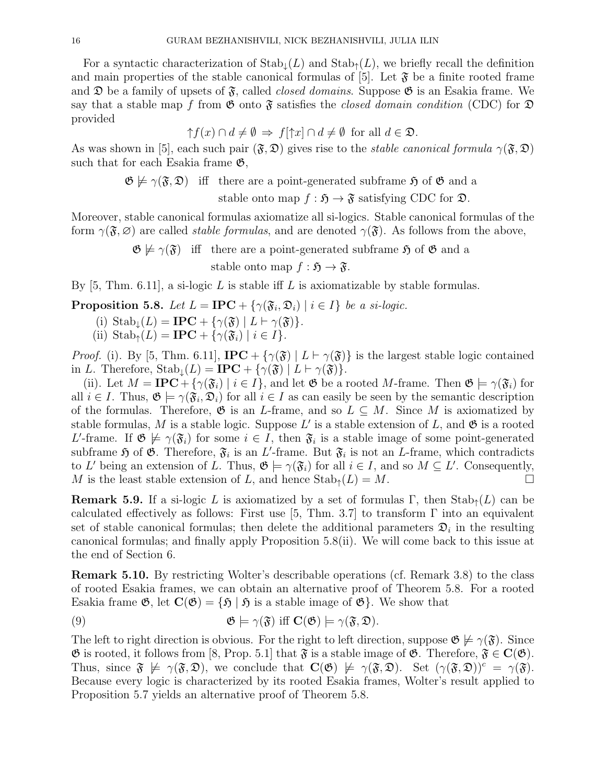For a syntactic characterization of  $\text{Stab}_{\perp}(L)$  and  $\text{Stab}_{\uparrow}(L)$ , we briefly recall the definition and main properties of the stable canonical formulas of [5]. Let  $\mathfrak{F}$  be a finite rooted frame and  $\mathfrak D$  be a family of upsets of  $\mathfrak F$ , called *closed domains*. Suppose  $\mathfrak G$  is an Esakia frame. We say that a stable map f from  $\mathfrak G$  onto  $\mathfrak F$  satisfies the *closed domain condition* (CDC) for  $\mathfrak D$ provided

$$
\uparrow f(x) \cap d \neq \emptyset \Rightarrow f[\uparrow x] \cap d \neq \emptyset \text{ for all } d \in \mathfrak{D}.
$$

As was shown in [5], each such pair  $(\mathfrak{F}, \mathfrak{D})$  gives rise to the *stable canonical formula*  $\gamma(\mathfrak{F}, \mathfrak{D})$ such that for each Esakia frame  $\mathfrak{G}$ ,

> $\mathfrak{G} \not\models \gamma(\mathfrak{F}, \mathfrak{D})$  iff there are a point-generated subframe  $\mathfrak{H}$  of  $\mathfrak{G}$  and a stable onto map  $f : \mathfrak{H} \to \mathfrak{F}$  satisfying CDC for  $\mathfrak{D}$ .

Moreover, stable canonical formulas axiomatize all si-logics. Stable canonical formulas of the form  $\gamma(\mathfrak{F}, \varnothing)$  are called *stable formulas*, and are denoted  $\gamma(\mathfrak{F})$ . As follows from the above,

> $\mathfrak{G} \not\models \gamma(\mathfrak{F})$  iff there are a point-generated subframe  $\mathfrak{H}$  of  $\mathfrak{G}$  and a stable onto map  $f : \mathfrak{H} \to \mathfrak{F}$ .

By [5, Thm. 6.11], a si-logic  $L$  is stable iff  $L$  is axiomatizable by stable formulas.

**Proposition 5.8.** Let  $L = \text{IPC} + \{ \gamma(\mathfrak{F}_i, \mathfrak{D}_i) \mid i \in I \}$  be a si-logic.

- (i)  $\text{Stab}_{\perp}(L) = \text{IPC} + \{ \gamma(\mathfrak{F}) \mid L \vdash \gamma(\mathfrak{F}) \}.$
- (ii)  $\text{Stab}_{\uparrow}(L) = \text{IPC} + \{ \gamma(\mathfrak{F}_i) \mid i \in I \}.$

*Proof.* (i). By [5, Thm. 6.11], **IPC** + { $\gamma(\mathfrak{F})$  |  $L \vdash \gamma(\mathfrak{F})$ } is the largest stable logic contained in L. Therefore,  $\text{Stab}_{\perp}(L) = \text{IPC} + {\gamma(\mathfrak{F}) | L \vdash \gamma(\mathfrak{F})}.$ 

(ii). Let  $M = \text{IPC} + {\gamma(\mathfrak{F}_i) \mid i \in I}$ , and let  $\mathfrak{G}$  be a rooted M-frame. Then  $\mathfrak{G} \models \gamma(\mathfrak{F}_i)$  for all  $i \in I$ . Thus,  $\mathfrak{G} \models \gamma(\mathfrak{F}_i, \mathfrak{D}_i)$  for all  $i \in I$  as can easily be seen by the semantic description of the formulas. Therefore,  $\mathfrak{G}$  is an *L*-frame, and so  $L \subseteq M$ . Since M is axiomatized by stable formulas, M is a stable logic. Suppose L' is a stable extension of L, and  $\mathfrak{G}$  is a rooted L'-frame. If  $\mathfrak{G} \not\models \gamma(\mathfrak{F}_i)$  for some  $i \in I$ , then  $\mathfrak{F}_i$  is a stable image of some point-generated subframe  $\mathfrak H$  of  $\mathfrak G$ . Therefore,  $\mathfrak F_i$  is an L'-frame. But  $\mathfrak F_i$  is not an L-frame, which contradicts to L' being an extension of L. Thus,  $\mathfrak{G} \models \gamma(\mathfrak{F}_i)$  for all  $i \in I$ , and so  $M \subseteq L'$ . Consequently, M is the least stable extension of L, and hence  $\text{Stab}_{\uparrow}(L) = M$ .

**Remark 5.9.** If a si-logic L is axiomatized by a set of formulas  $\Gamma$ , then  $\text{Stab}_{\uparrow}(L)$  can be calculated effectively as follows: First use [5, Thm. 3.7] to transform  $\Gamma$  into an equivalent set of stable canonical formulas; then delete the additional parameters  $\mathfrak{D}_i$  in the resulting canonical formulas; and finally apply Proposition 5.8(ii). We will come back to this issue at the end of Section 6.

Remark 5.10. By restricting Wolter's describable operations (cf. Remark 3.8) to the class of rooted Esakia frames, we can obtain an alternative proof of Theorem 5.8. For a rooted Esakia frame  $\mathfrak{G}$ , let  $\mathbf{C}(\mathfrak{G}) = \{ \mathfrak{H} \mid \mathfrak{H} \text{ is a stable image of } \mathfrak{G} \}$ . We show that

(9) 
$$
\mathfrak{G} \models \gamma(\mathfrak{F}) \text{ iff } \mathbf{C}(\mathfrak{G}) \models \gamma(\mathfrak{F}, \mathfrak{D}).
$$

The left to right direction is obvious. For the right to left direction, suppose  $\mathfrak{G} \not\models \gamma(\mathfrak{F})$ . Since  $\mathfrak{G}$  is rooted, it follows from [8, Prop. 5.1] that  $\mathfrak{F}$  is a stable image of  $\mathfrak{G}$ . Therefore,  $\mathfrak{F} \in \mathbf{C}(\mathfrak{G})$ . Thus, since  $\mathfrak{F} \not\models \gamma(\mathfrak{F}, \mathfrak{D})$ , we conclude that  $\mathbf{C}(\mathfrak{G}) \not\models \gamma(\mathfrak{F}, \mathfrak{D})$ . Set  $(\gamma(\mathfrak{F}, \mathfrak{D}))^c = \gamma(\mathfrak{F})$ . Because every logic is characterized by its rooted Esakia frames, Wolter's result applied to Proposition 5.7 yields an alternative proof of Theorem 5.8.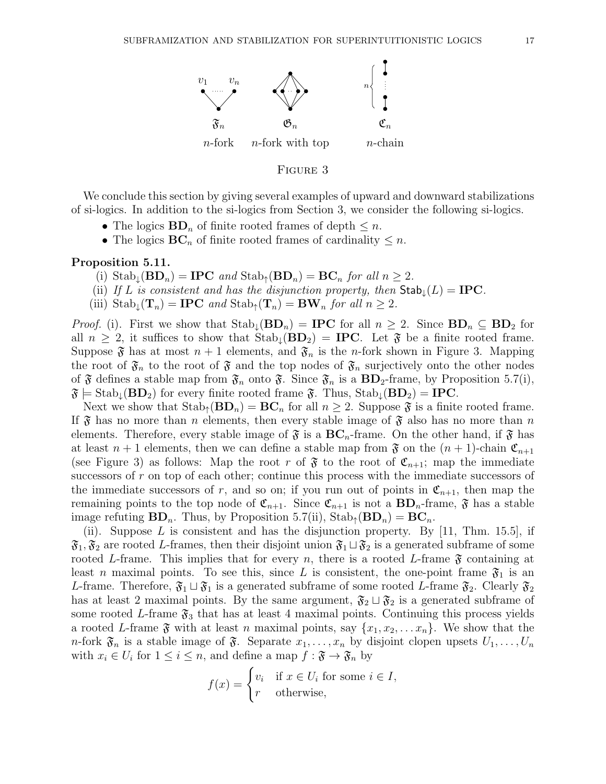

#### FIGURE 3

We conclude this section by giving several examples of upward and downward stabilizations of si-logics. In addition to the si-logics from Section 3, we consider the following si-logics.

- The logics  $\mathbf{BD}_n$  of finite rooted frames of depth  $\leq n$ .
- The logics  $\mathbf{BC}_n$  of finite rooted frames of cardinality  $\leq n$ .

### Proposition 5.11.

- (i)  $\text{Stab}_{\downarrow}(\mathbf{BD}_n) = \mathbf{IPC}$  and  $\text{Stab}_{\uparrow}(\mathbf{BD}_n) = \mathbf{BC}_n$  for all  $n \geq 2$ .
- (ii) If L is consistent and has the disjunction property, then  $\text{Stab}_{\perp}(L) = \text{IPC}$ .
- (iii)  $\text{Stab}_{\downarrow}(\mathbf{T}_n) = \textbf{IPC}$  and  $\text{Stab}_{\uparrow}(\mathbf{T}_n) = \textbf{BW}_n$  for all  $n \geq 2$ .

*Proof.* (i). First we show that  $\text{Stab}_{\perp}(\mathbf{BD}_n) = \text{IPC}$  for all  $n \geq 2$ . Since  $\text{BD}_n \subseteq \text{BD}_2$  for all  $n \geq 2$ , it suffices to show that  $Stab_{\perp}(\mathbf{BD}_2) = \mathbf{IPC}$ . Let  $\mathfrak{F}$  be a finite rooted frame. Suppose  $\mathfrak F$  has at most  $n+1$  elements, and  $\mathfrak F_n$  is the *n*-fork shown in Figure 3. Mapping the root of  $\mathfrak{F}_n$  to the root of  $\mathfrak{F}$  and the top nodes of  $\mathfrak{F}_n$  surjectively onto the other nodes of  $\mathfrak F$  defines a stable map from  $\mathfrak F_n$  onto  $\mathfrak F$ . Since  $\mathfrak F_n$  is a  $BD_2$ -frame, by Proposition 5.7(i),  $\mathfrak{F} = \text{Stab}_{\perp}(\mathbf{BD}_2)$  for every finite rooted frame  $\mathfrak{F}$ . Thus,  $\text{Stab}_{\perp}(\mathbf{BD}_2) = \text{IPC}$ .

Next we show that  $\text{Stab}_{\uparrow}(\mathbf{BD}_n) = \mathbf{BC}_n$  for all  $n \geq 2$ . Suppose  $\mathfrak{F}$  is a finite rooted frame. If  $\mathfrak F$  has no more than n elements, then every stable image of  $\mathfrak F$  also has no more than n elements. Therefore, every stable image of  $\mathfrak{F}$  is a  $BC_n$ -frame. On the other hand, if  $\mathfrak{F}$  has at least  $n + 1$  elements, then we can define a stable map from  $\mathfrak{F}$  on the  $(n + 1)$ -chain  $\mathfrak{C}_{n+1}$ (see Figure 3) as follows: Map the root r of  $\mathfrak{F}$  to the root of  $\mathfrak{C}_{n+1}$ ; map the immediate successors of r on top of each other; continue this process with the immediate successors of the immediate successors of r, and so on; if you run out of points in  $\mathfrak{C}_{n+1}$ , then map the remaining points to the top node of  $\mathfrak{C}_{n+1}$ . Since  $\mathfrak{C}_{n+1}$  is not a  $BD_n$ -frame,  $\mathfrak{F}$  has a stable image refuting  $BD_n$ . Thus, by Proposition 5.7(ii),  $\text{Stab}_{\uparrow}(BD_n) = BC_n$ .

(ii). Suppose L is consistent and has the disjunction property. By  $[11, Thm. 15.5]$ , if  $\mathfrak{F}_1, \mathfrak{F}_2$  are rooted L-frames, then their disjoint union  $\mathfrak{F}_1 \sqcup \mathfrak{F}_2$  is a generated subframe of some rooted L-frame. This implies that for every n, there is a rooted L-frame  $\mathfrak{F}$  containing at least n maximal points. To see this, since L is consistent, the one-point frame  $\mathfrak{F}_1$  is an L-frame. Therefore,  $\mathfrak{F}_1 \sqcup \mathfrak{F}_1$  is a generated subframe of some rooted L-frame  $\mathfrak{F}_2$ . Clearly  $\mathfrak{F}_2$ has at least 2 maximal points. By the same argument,  $\mathfrak{F}_2 \sqcup \mathfrak{F}_2$  is a generated subframe of some rooted L-frame  $\mathfrak{F}_3$  that has at least 4 maximal points. Continuing this process yields a rooted L-frame  $\mathfrak{F}$  with at least n maximal points, say  $\{x_1, x_2, \ldots x_n\}$ . We show that the *n*-fork  $\mathfrak{F}_n$  is a stable image of  $\mathfrak{F}$ . Separate  $x_1, \ldots, x_n$  by disjoint clopen upsets  $U_1, \ldots, U_n$ with  $x_i \in U_i$  for  $1 \leq i \leq n$ , and define a map  $f : \mathfrak{F} \to \mathfrak{F}_n$  by

$$
f(x) = \begin{cases} v_i & \text{if } x \in U_i \text{ for some } i \in I, \\ r & \text{otherwise,} \end{cases}
$$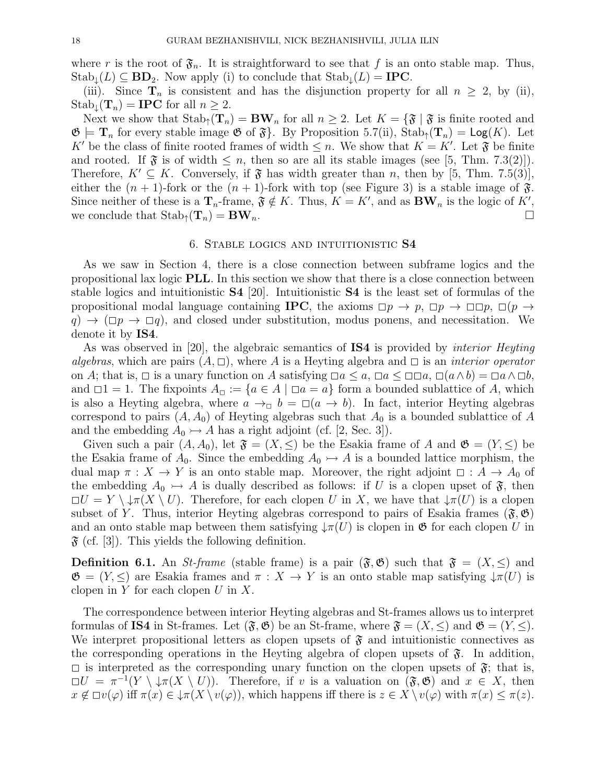where r is the root of  $\mathfrak{F}_n$ . It is straightforward to see that f is an onto stable map. Thus,  $\text{Stab}_{\downarrow}(L) \subseteq \text{BD}_2$ . Now apply (i) to conclude that  $\text{Stab}_{\downarrow}(L) = \text{IPC}$ .

(iii). Since  $\mathbf{T}_n$  is consistent and has the disjunction property for all  $n \geq 2$ , by (ii),  $Stab_{\perp}(T_n) = \text{IPC}$  for all  $n \geq 2$ .

Next we show that  $\text{Stab}_{\uparrow}(\mathbf{T}_n) = \mathbf{BW}_n$  for all  $n \geq 2$ . Let  $K = \{ \mathfrak{F} \mid \mathfrak{F} \text{ is finite rooted and } \mathfrak{F} \text{ is finite.} \}$  $\mathfrak{G} \models \mathbf{T}_n$  for every stable image  $\mathfrak{G}$  of  $\mathfrak{F}$ . By Proposition 5.7(ii),  $\mathrm{Stab}_{\uparrow}(\mathbf{T}_n) = \mathrm{Log}(K)$ . Let K' be the class of finite rooted frames of width  $\leq n$ . We show that  $K = K'$ . Let  $\mathfrak{F}$  be finite and rooted. If  $\mathfrak{F}$  is of width  $\leq n$ , then so are all its stable images (see [5, Thm. 7.3(2)]). Therefore,  $K' \subseteq K$ . Conversely, if  $\mathfrak{F}$  has width greater than n, then by [5, Thm. 7.5(3)], either the  $(n + 1)$ -fork or the  $(n + 1)$ -fork with top (see Figure 3) is a stable image of  $\mathfrak{F}$ . Since neither of these is a  $\mathbf{T}_n$ -frame,  $\mathfrak{F} \notin K$ . Thus,  $K = K'$ , and as  $\mathbf{BW}_n$  is the logic of  $K'$ , we conclude that  $\text{Stab}_{\uparrow}(\mathbf{T}_n) = \mathbf{BW}_n$ .

### 6. Stable logics and intuitionistic S4

As we saw in Section 4, there is a close connection between subframe logics and the propositional lax logic PLL. In this section we show that there is a close connection between stable logics and intuitionistic S4 [20]. Intuitionistic S4 is the least set of formulas of the propositional modal language containing **IPC**, the axioms  $\Box p \rightarrow p$ ,  $\Box p \rightarrow \Box \Box p$ ,  $\Box (p \rightarrow p)$  $q$ )  $\rightarrow$  ( $\Box p$   $\rightarrow$   $\Box q$ ), and closed under substitution, modus ponens, and necessitation. We denote it by IS4.

As was observed in [20], the algebraic semantics of **IS4** is provided by *interior Heyting* algebras, which are pairs  $(A, \Box)$ , where A is a Heyting algebra and  $\Box$  is an *interior operator* on A; that is,  $\Box$  is a unary function on A satisfying  $\Box a \leq a$ ,  $\Box a \leq \Box \Box a$ ,  $\Box (a \land b) = \Box a \land \Box b$ , and  $\Box 1 = 1$ . The fixpoints  $A_{\Box} := \{a \in A \mid \Box a = a\}$  form a bounded sublattice of A, which is also a Heyting algebra, where  $a \to a b = a$   $(a \to b)$ . In fact, interior Heyting algebras correspond to pairs  $(A, A_0)$  of Heyting algebras such that  $A_0$  is a bounded sublattice of A and the embedding  $A_0 \rightarrowtail A$  has a right adjoint (cf. [2, Sec. 3]).

Given such a pair  $(A, A_0)$ , let  $\mathfrak{F} = (X, \leq)$  be the Esakia frame of A and  $\mathfrak{G} = (Y, \leq)$  be the Esakia frame of  $A_0$ . Since the embedding  $A_0 \rightarrowtail A$  is a bounded lattice morphism, the dual map  $\pi : X \to Y$  is an onto stable map. Moreover, the right adjoint  $\Box : A \to A_0$  of the embedding  $A_0 \rightarrow A$  is dually described as follows: if U is a clopen upset of  $\mathfrak{F}$ , then  $\Box U = Y \setminus \downarrow \pi(X \setminus U)$ . Therefore, for each clopen U in X, we have that  $\downarrow \pi(U)$  is a clopen subset of Y. Thus, interior Heyting algebras correspond to pairs of Esakia frames  $(\mathfrak{F}, \mathfrak{G})$ and an onto stable map between them satisfying  $\downarrow \pi(U)$  is clopen in  $\mathfrak{G}$  for each clopen U in  $\mathfrak{F}$  (cf. [3]). This yields the following definition.

**Definition 6.1.** An *St-frame* (stable frame) is a pair  $(\mathfrak{F}, \mathfrak{G})$  such that  $\mathfrak{F} = (X, \leq)$  and  $\mathfrak{G} = (Y, \leq)$  are Esakia frames and  $\pi : X \to Y$  is an onto stable map satisfying  $\downarrow \pi(U)$  is clopen in  $Y$  for each clopen  $U$  in  $X$ .

The correspondence between interior Heyting algebras and St-frames allows us to interpret formulas of IS4 in St-frames. Let  $(\mathfrak{F}, \mathfrak{G})$  be an St-frame, where  $\mathfrak{F} = (X, \le)$  and  $\mathfrak{G} = (Y, \le)$ . We interpret propositional letters as clopen upsets of  $\mathfrak F$  and intuitionistic connectives as the corresponding operations in the Heyting algebra of clopen upsets of  $\mathfrak{F}$ . In addition,  $\square$  is interpreted as the corresponding unary function on the clopen upsets of  $\mathfrak{F}$ ; that is,  $\Box U = \pi^{-1}(Y \setminus \downarrow \pi(X \setminus U)).$  Therefore, if v is a valuation on  $(\mathfrak{F}, \mathfrak{G})$  and  $x \in X$ , then  $x \notin \Box v(\varphi)$  iff  $\pi(x) \in \Box \pi(X \setminus v(\varphi))$ , which happens iff there is  $z \in X \setminus v(\varphi)$  with  $\pi(x) \leq \pi(z)$ .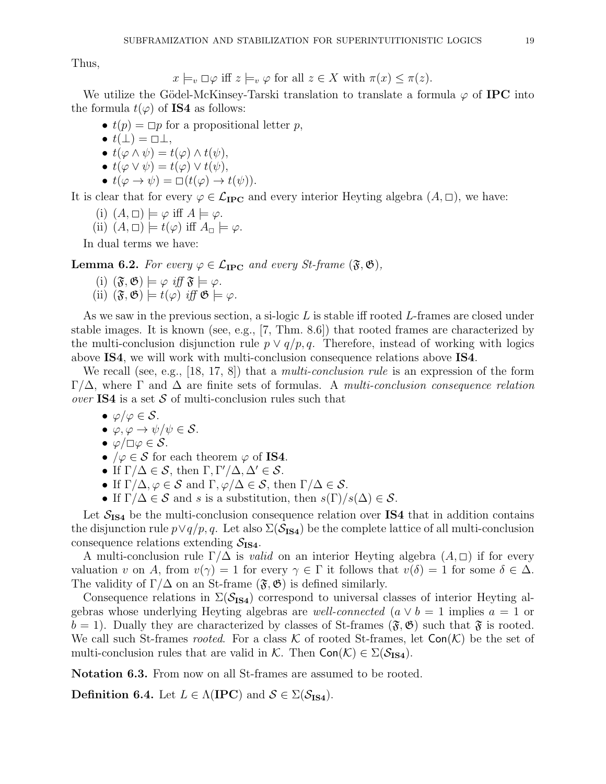Thus,

$$
x \models_v \Box \varphi
$$
 iff  $z \models_v \varphi$  for all  $z \in X$  with  $\pi(x) \leq \pi(z)$ .

We utilize the Gödel-McKinsey-Tarski translation to translate a formula  $\varphi$  of **IPC** into the formula  $t(\varphi)$  of **IS4** as follows:

- $t(p) = \Box p$  for a propositional letter p,
- $t(\perp) = \square \perp$ ,
- $t(\varphi \wedge \psi) = t(\varphi) \wedge t(\psi),$
- $t(\varphi \vee \psi) = t(\varphi) \vee t(\psi),$
- $t(\varphi \to \psi) = \Box(t(\varphi) \to t(\psi)).$

It is clear that for every  $\varphi \in \mathcal{L}_{\text{IPC}}$  and every interior Heyting algebra  $(A, \Box)$ , we have:

- (i)  $(A, \Box) \models \varphi$  iff  $A \models \varphi$ .
- (ii)  $(A, \Box) \models t(\varphi)$  iff  $A_{\Box} \models \varphi$ .

In dual terms we have:

**Lemma 6.2.** For every  $\varphi \in \mathcal{L}_{\text{IPC}}$  and every St-frame  $(\mathfrak{F}, \mathfrak{G}),$ 

- (i)  $(\mathfrak{F}, \mathfrak{G}) \models \varphi \text{ iff } \mathfrak{F} \models \varphi.$
- (ii)  $(\mathfrak{F}, \mathfrak{G}) \models t(\varphi)$  iff  $\mathfrak{G} \models \varphi$ .

As we saw in the previous section, a si-logic  $L$  is stable iff rooted  $L$ -frames are closed under stable images. It is known (see, e.g., [7, Thm. 8.6]) that rooted frames are characterized by the multi-conclusion disjunction rule  $p \vee q/p, q$ . Therefore, instead of working with logics above IS4, we will work with multi-conclusion consequence relations above IS4.

We recall (see, e.g., [18, 17, 8]) that a *multi-conclusion rule* is an expression of the form Γ/Δ, where Γ and Δ are finite sets of formulas. A multi-conclusion consequence relation over IS4 is a set  $S$  of multi-conclusion rules such that

- $\varphi/\varphi \in \mathcal{S}$ .
- $\varphi, \varphi \to \psi/\psi \in \mathcal{S}$ .
- $\bullet \varphi/\Box \varphi \in \mathcal{S}.$
- $/\varphi \in \mathcal{S}$  for each theorem  $\varphi$  of **IS4**.
- If  $\Gamma/\Delta \in \mathcal{S}$ , then  $\Gamma, \Gamma'/\Delta, \Delta' \in \mathcal{S}$ .
- If  $\Gamma/\Delta, \varphi \in \mathcal{S}$  and  $\Gamma, \varphi/\Delta \in \mathcal{S}$ , then  $\Gamma/\Delta \in \mathcal{S}$ .
- If  $\Gamma/\Delta \in \mathcal{S}$  and s is a substitution, then  $s(\Gamma)/s(\Delta) \in \mathcal{S}$ .

Let  $S_{\text{IS4}}$  be the multi-conclusion consequence relation over IS4 that in addition contains the disjunction rule  $p \vee q/p, q$ . Let also  $\Sigma(\mathcal{S}_{\text{IS4}})$  be the complete lattice of all multi-conclusion consequence relations extending  $S_{\text{IS4}}$ .

A multi-conclusion rule  $\Gamma/\Delta$  is *valid* on an interior Heyting algebra  $(A,\Box)$  if for every valuation v on A, from  $v(\gamma) = 1$  for every  $\gamma \in \Gamma$  it follows that  $v(\delta) = 1$  for some  $\delta \in \Delta$ . The validity of  $\Gamma/\Delta$  on an St-frame  $(\mathfrak{F}, \mathfrak{G})$  is defined similarly.

Consequence relations in  $\Sigma(\mathcal{S}_{\text{IS4}})$  correspond to universal classes of interior Heyting algebras whose underlying Heyting algebras are *well-connected*  $(a \vee b = 1$  implies  $a = 1$  or  $b = 1$ . Dually they are characterized by classes of St-frames  $(\mathfrak{F}, \mathfrak{G})$  such that  $\mathfrak{F}$  is rooted. We call such St-frames *rooted*. For a class K of rooted St-frames, let  $Con(\mathcal{K})$  be the set of multi-conclusion rules that are valid in K. Then  $Con(\mathcal{K}) \in \Sigma(\mathcal{S}_{\text{IS4}})$ .

Notation 6.3. From now on all St-frames are assumed to be rooted.

Definition 6.4. Let  $L \in \Lambda(\text{IPC})$  and  $S \in \Sigma(\mathcal{S}_{\text{IS4}})$ .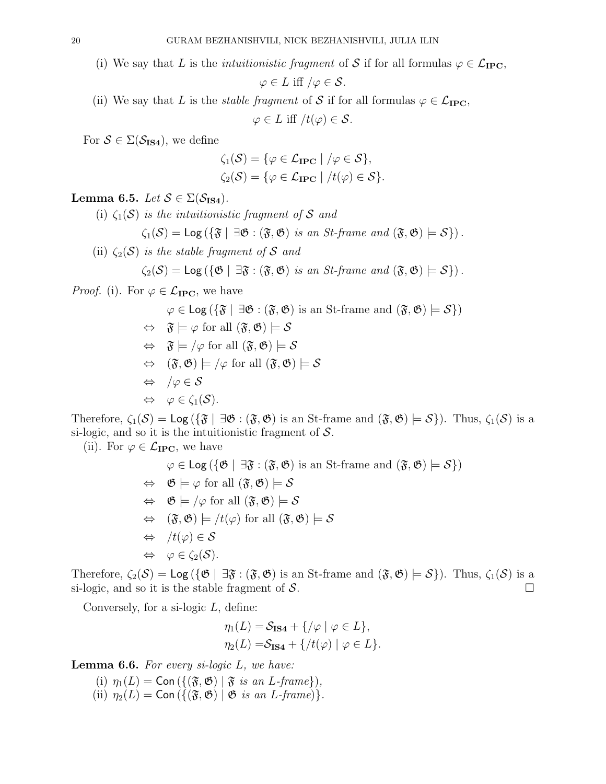(i) We say that L is the *intuitionistic fragment* of S if for all formulas  $\varphi \in \mathcal{L}_{\text{IPC}}$ ,

$$
\varphi \in L \text{ iff } / \varphi \in \mathcal{S}.
$$

(ii) We say that L is the *stable fragment* of S if for all formulas  $\varphi \in \mathcal{L}_{\text{IPC}}$ ,

 $\varphi \in L$  iff  $/t(\varphi) \in \mathcal{S}$ .

For  $S \in \Sigma(\mathcal{S}_{\text{IS4}})$ , we define

$$
\zeta_1(\mathcal{S}) = \{ \varphi \in \mathcal{L}_{\text{IPC}} \mid / \varphi \in \mathcal{S} \},
$$
  

$$
\zeta_2(\mathcal{S}) = \{ \varphi \in \mathcal{L}_{\text{IPC}} \mid / t(\varphi) \in \mathcal{S} \}.
$$

Lemma 6.5. Let  $S \in \Sigma(\mathcal{S}_{\text{IS4}})$ .

(i)  $\zeta_1(\mathcal{S})$  is the intuitionistic fragment of S and

$$
\zeta_1(\mathcal{S}) = \text{Log}\left(\{\mathfrak{F} \mid \exists \mathfrak{G} : (\mathfrak{F}, \mathfrak{G}) \text{ is an St-frame and } (\mathfrak{F}, \mathfrak{G}) \models \mathcal{S}\}\right).
$$

(ii)  $\zeta_2(\mathcal{S})$  is the stable fragment of S and

$$
\zeta_2(\mathcal{S}) = \text{Log}\left(\{\mathfrak{G} \mid \exists \mathfrak{F} : (\mathfrak{F}, \mathfrak{G}) \text{ is an St-frame and } (\mathfrak{F}, \mathfrak{G}) \models \mathcal{S}\}\right).
$$

*Proof.* (i). For  $\varphi \in \mathcal{L}_{\text{IPC}}$ , we have

$$
\varphi \in \text{Log}(\{\mathfrak{F} \mid \exists \mathfrak{G} : (\mathfrak{F}, \mathfrak{G}) \text{ is an St-frame and } (\mathfrak{F}, \mathfrak{G}) \models \mathcal{S}\})
$$
  
\n
$$
\Leftrightarrow \mathfrak{F} \models \varphi \text{ for all } (\mathfrak{F}, \mathfrak{G}) \models \mathcal{S}
$$
  
\n
$$
\Leftrightarrow \mathfrak{F} \models / \varphi \text{ for all } (\mathfrak{F}, \mathfrak{G}) \models \mathcal{S}
$$
  
\n
$$
\Leftrightarrow (\mathfrak{F}, \mathfrak{G}) \models / \varphi \text{ for all } (\mathfrak{F}, \mathfrak{G}) \models \mathcal{S}
$$
  
\n
$$
\Leftrightarrow / \varphi \in \mathcal{S}
$$
  
\n
$$
\Leftrightarrow \varphi \in \zeta_1(\mathcal{S}).
$$

Therefore,  $\zeta_1(\mathcal{S}) = \text{Log}(\{\mathfrak{F} \mid \exists \mathfrak{G} : (\mathfrak{F}, \mathfrak{G}) \text{ is an St-frame and } (\mathfrak{F}, \mathfrak{G}) \models \mathcal{S}\}\)$ . Thus,  $\zeta_1(\mathcal{S})$  is a si-logic, and so it is the intuitionistic fragment of  $S$ .

(ii). For  $\varphi \in \mathcal{L}_{\text{IPC}}$ , we have

$$
\varphi \in \text{Log}(\{\mathfrak{G} \mid \exists \mathfrak{F} : (\mathfrak{F}, \mathfrak{G}) \text{ is an St-frame and } (\mathfrak{F}, \mathfrak{G}) \models \mathcal{S}\})
$$
  
\n
$$
\Leftrightarrow \mathfrak{G} \models \varphi \text{ for all } (\mathfrak{F}, \mathfrak{G}) \models \mathcal{S}
$$
  
\n
$$
\Leftrightarrow \mathfrak{G} \models /\varphi \text{ for all } (\mathfrak{F}, \mathfrak{G}) \models \mathcal{S}
$$
  
\n
$$
\Leftrightarrow (\mathfrak{F}, \mathfrak{G}) \models /t(\varphi) \text{ for all } (\mathfrak{F}, \mathfrak{G}) \models \mathcal{S}
$$
  
\n
$$
\Leftrightarrow /t(\varphi) \in \mathcal{S}
$$
  
\n
$$
\Leftrightarrow \varphi \in \zeta_2(\mathcal{S}).
$$

Therefore,  $\zeta_2(\mathcal{S}) = \text{Log}(\{\mathfrak{G} \mid \exists \mathfrak{F} : (\mathfrak{F}, \mathfrak{G}) \text{ is an St-frame and } (\mathfrak{F}, \mathfrak{G}) \models \mathcal{S}\})$ . Thus,  $\zeta_1(\mathcal{S})$  is a si-logic, and so it is the stable fragment of  $S$ .

Conversely, for a si-logic  $L$ , define:

$$
\eta_1(L) = S_{\text{IS4}} + \{ / \varphi \mid \varphi \in L \},
$$
  

$$
\eta_2(L) = S_{\text{IS4}} + \{ / t(\varphi) \mid \varphi \in L \}.
$$

**Lemma 6.6.** For every si-logic  $L$ , we have:

(i)  $\eta_1(L) = \text{Con}\left(\{(\mathfrak{F}, \mathfrak{G}) \mid \mathfrak{F} \text{ is an } L\text{-frame}\}\right),$ (ii)  $\eta_2(L) = \text{Con}\left(\{(\mathfrak{F}, \mathfrak{G}) \mid \mathfrak{G} \text{ is an } L\text{-frame}\right)\}.$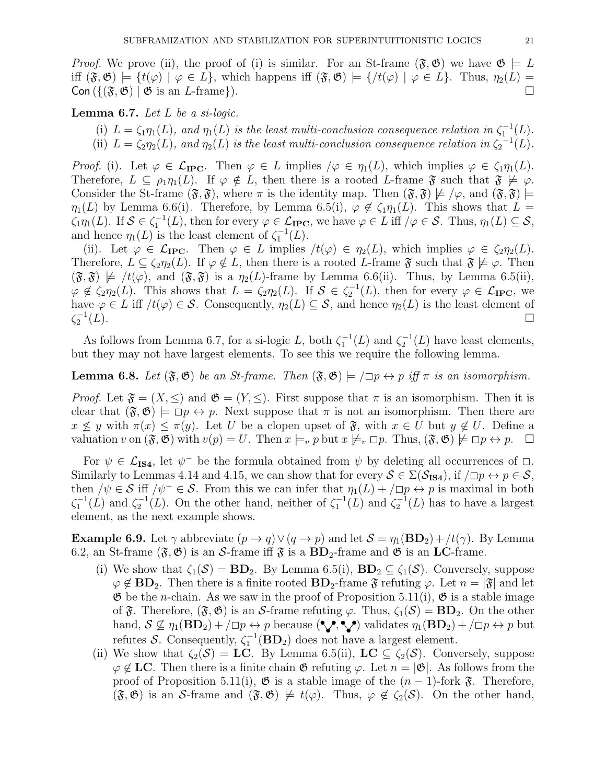*Proof.* We prove (ii), the proof of (i) is similar. For an St-frame  $(\mathfrak{F}, \mathfrak{G})$  we have  $\mathfrak{G} \models L$ iff  $(\mathfrak{F}, \mathfrak{G}) \models \{t(\varphi) \mid \varphi \in L\}$ , which happens iff  $(\mathfrak{F}, \mathfrak{G}) \models \{t(\varphi) \mid \varphi \in L\}$ . Thus,  $\eta_2(L) =$  $\text{Con}\left(\{\left(\mathfrak{F},\mathfrak{G}\right) \mid \mathfrak{G} \text{ is an } L\text{-frame}\}\right).$ 

**Lemma 6.7.** Let  $L$  be a si-logic.

(i)  $L = \zeta_1 \eta_1(L)$ , and  $\eta_1(L)$  is the least multi-conclusion consequence relation in  $\zeta_1^{-1}(L)$ . (ii)  $L = \zeta_2 \eta_2(L)$ , and  $\eta_2(L)$  is the least multi-conclusion consequence relation in  $\zeta_2^{-1}(L)$ .

*Proof.* (i). Let  $\varphi \in \mathcal{L}_{\text{IPC}}$ . Then  $\varphi \in L$  implies  $/\varphi \in \eta_1(L)$ , which implies  $\varphi \in \zeta_1 \eta_1(L)$ . Therefore,  $L \subseteq \rho_1 \eta_1(L)$ . If  $\varphi \notin L$ , then there is a rooted L-frame  $\mathfrak{F}$  such that  $\mathfrak{F} \not\models \varphi$ . Consider the St-frame  $(\mathfrak{F}, \mathfrak{F})$ , where  $\pi$  is the identity map. Then  $(\mathfrak{F}, \mathfrak{F}) \not\models / \varphi$ , and  $(\mathfrak{F}, \mathfrak{F}) \models$  $\eta_1(L)$  by Lemma 6.6(i). Therefore, by Lemma 6.5(i),  $\varphi \notin \zeta_1 \eta_1(L)$ . This shows that  $L =$  $\zeta_1\eta_1(L)$ . If  $\mathcal{S} \in \zeta_1^{-1}(L)$ , then for every  $\varphi \in \mathcal{L}_{\text{IPC}}$ , we have  $\varphi \in L$  iff  $/\varphi \in \mathcal{S}$ . Thus,  $\eta_1(L) \subseteq \mathcal{S}$ , and hence  $\eta_1(L)$  is the least element of  $\zeta_1^{-1}(L)$ .

(ii). Let  $\varphi \in \mathcal{L}_{\text{IPC}}$ . Then  $\varphi \in L$  implies  $/t(\varphi) \in \eta_2(L)$ , which implies  $\varphi \in \zeta_2 \eta_2(L)$ . Therefore,  $L \subseteq \zeta_2 \eta_2(L)$ . If  $\varphi \notin L$ , then there is a rooted L-frame  $\mathfrak{F}$  such that  $\mathfrak{F} \not\models \varphi$ . Then  $(\mathfrak{F}, \mathfrak{F}) \not\models /t(\varphi)$ , and  $(\mathfrak{F}, \mathfrak{F})$  is a  $\eta_2(L)$ -frame by Lemma 6.6(ii). Thus, by Lemma 6.5(ii),  $\varphi \notin \zeta_2\eta_2(L)$ . This shows that  $L = \zeta_2\eta_2(L)$ . If  $S \in \zeta_2^{-1}(L)$ , then for every  $\varphi \in \mathcal{L}_{\text{IPC}}$ , we have  $\varphi \in L$  iff  $/t(\varphi) \in S$ . Consequently,  $\eta_2(L) \subseteq S$ , and hence  $\eta_2(L)$  is the least element of  $\zeta_2^{-1}$  $(L).$ 

As follows from Lemma 6.7, for a si-logic L, both  $\zeta_1^{-1}(L)$  and  $\zeta_2^{-1}(L)$  have least elements, but they may not have largest elements. To see this we require the following lemma.

**Lemma 6.8.** Let  $(\mathfrak{F}, \mathfrak{G})$  be an St-frame. Then  $(\mathfrak{F}, \mathfrak{G}) \models \Box p \leftrightarrow p$  iff  $\pi$  is an isomorphism.

*Proof.* Let  $\mathfrak{F} = (X, \leq)$  and  $\mathfrak{G} = (Y, \leq)$ . First suppose that  $\pi$  is an isomorphism. Then it is clear that  $(\mathfrak{F},\mathfrak{G})\models \Box p \leftrightarrow p$ . Next suppose that  $\pi$  is not an isomorphism. Then there are  $x \nleq y$  with  $\pi(x) \leq \pi(y)$ . Let U be a clopen upset of  $\mathfrak{F}$ , with  $x \in U$  but  $y \notin U$ . Define a valuation v on  $(\mathfrak{F}, \mathfrak{G})$  with  $v(p) = U$ . Then  $x \models_v p$  but  $x \not\models_v \Box p$ . Thus,  $(\mathfrak{F}, \mathfrak{G}) \not\models \Box p \leftrightarrow p$ .  $\Box$ 

For  $\psi \in \mathcal{L}_{IS4}$ , let  $\psi^-$  be the formula obtained from  $\psi$  by deleting all occurrences of  $\Box$ Similarly to Lemmas 4.14 and 4.15, we can show that for every  $S \in \Sigma(\mathcal{S}_{\text{IS4}})$ , if  $/\square p \leftrightarrow p \in \mathcal{S}$ , then  $/\psi \in \mathcal{S}$  iff  $/\psi^- \in \mathcal{S}$ . From this we can infer that  $\eta_1(L) + / \square p \leftrightarrow p$  is maximal in both  $\zeta_1^{-1}(L)$  and  $\zeta_2^{-1}(L)$ . On the other hand, neither of  $\zeta_1^{-1}(L)$  and  $\zeta_2^{-1}(L)$  has to have a largest element, as the next example shows.

**Example 6.9.** Let  $\gamma$  abbreviate  $(p \to q) \lor (q \to p)$  and let  $S = \eta_1(BD_2) + /t(\gamma)$ . By Lemma 6.2, an St-frame  $(\mathfrak{F}, \mathfrak{G})$  is an S-frame iff  $\mathfrak{F}$  is a  $BD_2$ -frame and  $\mathfrak{G}$  is an LC-frame.

- (i) We show that  $\zeta_1(\mathcal{S}) = \mathbf{BD}_2$ . By Lemma 6.5(i),  $\mathbf{BD}_2 \subseteq \zeta_1(\mathcal{S})$ . Conversely, suppose  $\varphi \notin BD_2$ . Then there is a finite rooted  $BD_2$ -frame  $\mathfrak{F}$  refuting  $\varphi$ . Let  $n = |\mathfrak{F}|$  and let  $\mathfrak G$  be the *n*-chain. As we saw in the proof of Proposition 5.11(i),  $\mathfrak G$  is a stable image of  $\mathfrak{F}$ . Therefore,  $(\mathfrak{F}, \mathfrak{G})$  is an S-frame refuting  $\varphi$ . Thus,  $\zeta_1(\mathcal{S}) = \mathbf{BD}_2$ . On the other hand,  $S \nsubseteq \eta_1(BD_2) + |\Box p \leftrightarrow p$  because  $(\mathcal{P}, \mathcal{P})$  validates  $\eta_1(BD_2) + |\Box p \leftrightarrow p$  but refutes S. Consequently,  $\zeta_1^{-1}(\mathbf{BD}_2)$  does not have a largest element.
- (ii) We show that  $\zeta_2(\mathcal{S}) = \mathbf{LC}$ . By Lemma 6.5(ii),  $\mathbf{LC} \subset \zeta_2(\mathcal{S})$ . Conversely, suppose  $\varphi \notin LC$ . Then there is a finite chain  $\mathfrak{G}$  refuting  $\varphi$ . Let  $n = |\mathfrak{G}|$ . As follows from the proof of Proposition 5.11(i),  $\mathfrak G$  is a stable image of the  $(n-1)$ -fork  $\mathfrak F$ . Therefore,  $(\mathfrak{F}, \mathfrak{G})$  is an S-frame and  $(\mathfrak{F}, \mathfrak{G}) \not\models t(\varphi)$ . Thus,  $\varphi \notin \zeta_2(\mathcal{S})$ . On the other hand,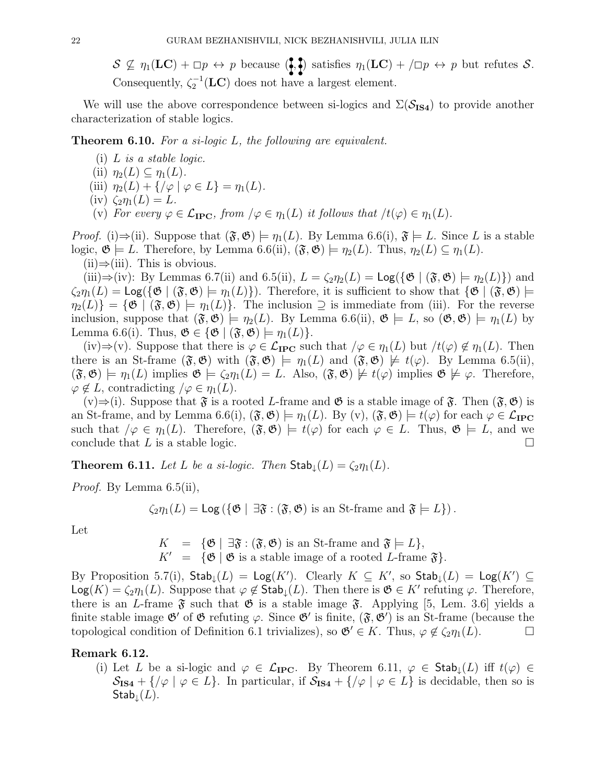$S \nsubseteq \eta_1(\mathbf{LC}) + \Box p \leftrightarrow p$  because  $\left( \cdot, \cdot \right)$  satisfies  $\eta_1(\mathbf{LC}) + (\Box p \leftrightarrow p$  but refutes S. Consequently,  $\zeta_2^{-1}(\mathbf{LC})$  does not have a largest element.

We will use the above correspondence between si-logics and  $\Sigma(\mathcal{S}_{IS4})$  to provide another characterization of stable logics.

**Theorem 6.10.** For a si-logic  $L$ , the following are equivalent.

- (i)  $L$  is a stable logic.
- (ii)  $\eta_2(L) \subseteq \eta_1(L)$ .
- (iii)  $\eta_2(L) + {\gamma \varphi \mid \varphi \in L} = \eta_1(L)$ .
- (iv)  $\zeta_2 \eta_1(L) = L$ .
- (v) For every  $\varphi \in \mathcal{L}_{\text{IPC}}$ , from  $\varphi \in \eta_1(L)$  it follows that  $\varphi \upharpoonright \eta_1(L)$ .

*Proof.* (i)⇒(ii). Suppose that  $(\mathfrak{F}, \mathfrak{G}) \models \eta_1(L)$ . By Lemma 6.6(i),  $\mathfrak{F} \models L$ . Since L is a stable logic,  $\mathfrak{G} \models L$ . Therefore, by Lemma 6.6(ii),  $(\mathfrak{F}, \mathfrak{G}) \models \eta_2(L)$ . Thus,  $\eta_2(L) \subseteq \eta_1(L)$ .

 $(ii) \Rightarrow (iii)$ . This is obvious.

(iii)⇒(iv): By Lemmas 6.7(ii) and 6.5(ii),  $L = \zeta_2 \eta_2(L) = \text{Log}(\{\mathfrak{G} \mid (\mathfrak{F}, \mathfrak{G}) \models \eta_2(L)\})$  and  $\zeta_2\eta_1(L) = \text{Log}(\{\mathfrak{G} \mid (\mathfrak{F}, \mathfrak{G}) \models \eta_1(L)\})$ . Therefore, it is sufficient to show that  $\{\mathfrak{G} \mid (\mathfrak{F}, \mathfrak{G}) \models$  $\eta_2(L)$ } = { $\mathfrak{G} \mid (\mathfrak{F}, \mathfrak{G}) \models \eta_1(L)$ }. The inclusion  $\supseteq$  is immediate from (iii). For the reverse inclusion, suppose that  $(\mathfrak{F},\mathfrak{G}) \models \eta_2(L)$ . By Lemma 6.6(ii),  $\mathfrak{G} \models L$ , so  $(\mathfrak{G},\mathfrak{G}) \models \eta_1(L)$  by Lemma 6.6(i). Thus,  $\mathfrak{G} \in {\mathfrak{G} \mid (\mathfrak{F}, \mathfrak{G}) \models \eta_1(L)}.$ 

(iv)⇒(v). Suppose that there is  $\varphi \in \mathcal{L}_{\text{IPC}}$  such that  $/\varphi \in \eta_1(L)$  but  $/t(\varphi) \notin \eta_1(L)$ . Then there is an St-frame  $(\mathfrak{F}, \mathfrak{G})$  with  $(\mathfrak{F}, \mathfrak{G}) \models \eta_1(L)$  and  $(\mathfrak{F}, \mathfrak{G}) \not\models t(\varphi)$ . By Lemma 6.5(ii),  $(\mathfrak{F}, \mathfrak{G}) \models \eta_1(L)$  implies  $\mathfrak{G} \models \zeta_2 \eta_1(L) = L$ . Also,  $(\mathfrak{F}, \mathfrak{G}) \not\models t(\varphi)$  implies  $\mathfrak{G} \not\models \varphi$ . Therefore,  $\varphi \notin L$ , contradicting  $/\varphi \in \eta_1(L)$ .

(v)⇒(i). Suppose that  $\mathfrak F$  is a rooted L-frame and  $\mathfrak G$  is a stable image of  $\mathfrak F$ . Then  $(\mathfrak F, \mathfrak G)$  is an St-frame, and by Lemma 6.6(i),  $(\mathfrak{F}, \mathfrak{G}) \models \eta_1(L)$ . By  $(v)$ ,  $(\mathfrak{F}, \mathfrak{G}) \models t(\varphi)$  for each  $\varphi \in \mathcal{L}_{\text{IPC}}$ such that  $/\varphi \in \eta_1(L)$ . Therefore,  $(\mathfrak{F}, \mathfrak{G}) \models t(\varphi)$  for each  $\varphi \in L$ . Thus,  $\mathfrak{G} \models L$ , and we conclude that L is a stable logic.  $\Box$ 

**Theorem 6.11.** Let L be a si-logic. Then  $\textsf{Stab}_{\downarrow}(L) = \zeta_2 \eta_1(L)$ .

*Proof.* By Lemma 6.5(ii),

 $\zeta_2 \eta_1(L) = \text{Log}(\{\mathfrak{G} \mid \exists \mathfrak{F} : (\mathfrak{F}, \mathfrak{G}) \text{ is an St-frame and } \mathfrak{F} \models L\}).$ 

Let

 $= {\mathfrak{G}} | \exists \mathfrak{F} : (\mathfrak{F}, \mathfrak{G})$  is an St-frame and  $\mathfrak{F} \models L$ ,  $K' = {\mathfrak{G} \mid \mathfrak{G} \text{ is a stable image of a rooted } L\text{-frame }\mathfrak{F}}.$ 

By Proposition 5.7(i),  $\mathsf{Stab}_\downarrow(L) = \mathsf{Log}(K')$ . Clearly  $K \subseteq K'$ , so  $\mathsf{Stab}_\downarrow(L) = \mathsf{Log}(K') \subseteq$  $\mathsf{Log}(K) = \zeta_2 \eta_1(L)$ . Suppose that  $\varphi \notin \mathsf{Stab}_\downarrow(L)$ . Then there is  $\mathfrak{G} \in K'$  refuting  $\varphi$ . Therefore, there is an L-frame  $\mathfrak F$  such that  $\mathfrak G$  is a stable image  $\mathfrak F$ . Applying [5, Lem. 3.6] yields a finite stable image  $\mathfrak{G}'$  of  $\mathfrak{G}$  refuting  $\varphi$ . Since  $\mathfrak{G}'$  is finite,  $(\mathfrak{F}, \mathfrak{G}')$  is an St-frame (because the topological condition of Definition 6.1 trivializes), so  $\mathfrak{G} \in K$ . Thus,  $\varphi \notin \zeta_2 \eta_1(L)$ .

### Remark 6.12.

(i) Let L be a si-logic and  $\varphi \in \mathcal{L}_{\text{IPC}}$ . By Theorem 6.11,  $\varphi \in \text{Stab}_{\downarrow}(L)$  iff  $t(\varphi) \in$  $\mathcal{S}_{\mathbf{IS4}} + {\mathcal{S}_{\varphi} \mid \varphi \in L}.$  In particular, if  $\mathcal{S}_{\mathbf{IS4}} + {\mathcal{S}_{\varphi} \mid \varphi \in L}$  is decidable, then so is  $\mathsf{Stab}_\downarrow(L)$ .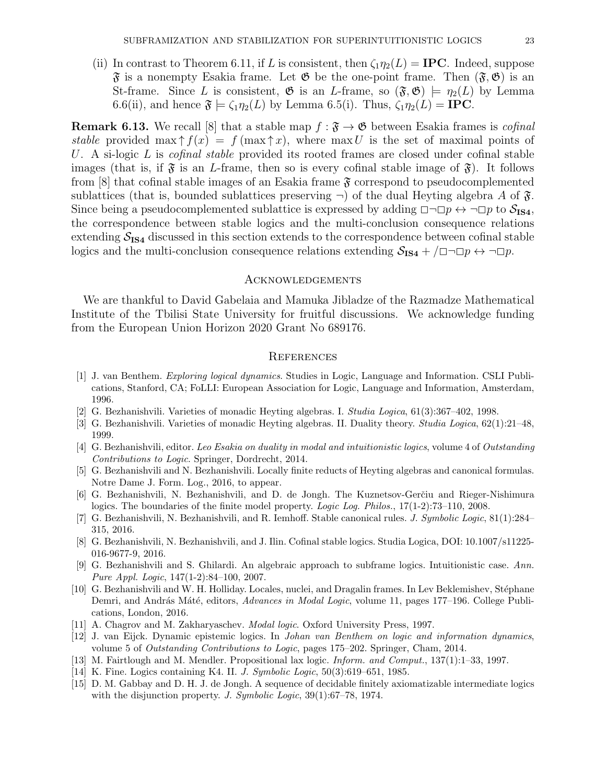- 
- (ii) In contrast to Theorem 6.11, if L is consistent, then  $\zeta_1 \eta_2(L) = \text{IPC}$ . Indeed, suppose  $\mathfrak{F}$  is a nonempty Esakia frame. Let  $\mathfrak{G}$  be the one-point frame. Then  $(\mathfrak{F}, \mathfrak{G})$  is an St-frame. Since L is consistent,  $\mathfrak{G}$  is an L-frame, so  $(\mathfrak{F}, \mathfrak{G}) \models \eta_2(L)$  by Lemma 6.6(ii), and hence  $\mathfrak{F} \models \zeta_1 \eta_2(L)$  by Lemma 6.5(i). Thus,  $\zeta_1 \eta_2(L) = \text{IPC}$ .

**Remark 6.13.** We recall [8] that a stable map  $f : \mathfrak{F} \to \mathfrak{G}$  between Esakia frames is *cofinal* stable provided max  $\uparrow f(x) = f(\max \uparrow x)$ , where max U is the set of maximal points of U. A si-logic L is *cofinal stable* provided its rooted frames are closed under cofinal stable images (that is, if  $\mathfrak{F}$  is an L-frame, then so is every cofinal stable image of  $\mathfrak{F}$ ). It follows from  $[8]$  that cofinal stable images of an Esakia frame  $\mathfrak F$  correspond to pseudocomplemented sublattices (that is, bounded sublattices preserving  $\neg$ ) of the dual Heyting algebra A of  $\mathfrak{F}$ . Since being a pseudocomplemented sublattice is expressed by adding  $\Box \neg \Box p \leftrightarrow \neg \Box p$  to  $\mathcal{S}_{\text{IS4}}$ , the correspondence between stable logics and the multi-conclusion consequence relations extending  $S_{IS4}$  discussed in this section extends to the correspondence between cofinal stable logics and the multi-conclusion consequence relations extending  $S_{IS4} + / \square \neg \square p \leftrightarrow \neg \square p$ .

### Acknowledgements

We are thankful to David Gabelaia and Mamuka Jibladze of the Razmadze Mathematical Institute of the Tbilisi State University for fruitful discussions. We acknowledge funding from the European Union Horizon 2020 Grant No 689176.

#### **REFERENCES**

- [1] J. van Benthem. Exploring logical dynamics. Studies in Logic, Language and Information. CSLI Publications, Stanford, CA; FoLLI: European Association for Logic, Language and Information, Amsterdam, 1996.
- [2] G. Bezhanishvili. Varieties of monadic Heyting algebras. I. Studia Logica, 61(3):367–402, 1998.
- [3] G. Bezhanishvili. Varieties of monadic Heyting algebras. II. Duality theory. Studia Logica, 62(1):21–48, 1999.
- [4] G. Bezhanishvili, editor. Leo Esakia on duality in modal and intuitionistic logics, volume 4 of Outstanding Contributions to Logic. Springer, Dordrecht, 2014.
- [5] G. Bezhanishvili and N. Bezhanishvili. Locally finite reducts of Heyting algebras and canonical formulas. Notre Dame J. Form. Log., 2016, to appear.
- [6] G. Bezhanishvili, N. Bezhanishvili, and D. de Jongh. The Kuznetsov-Gerčiu and Rieger-Nishimura logics. The boundaries of the finite model property. Logic Log. Philos., 17(1-2):73-110, 2008.
- [7] G. Bezhanishvili, N. Bezhanishvili, and R. Iemhoff. Stable canonical rules. *J. Symbolic Logic*, 81(1):284– 315, 2016.
- [8] G. Bezhanishvili, N. Bezhanishvili, and J. Ilin. Cofinal stable logics. Studia Logica, DOI: 10.1007/s11225- 016-9677-9, 2016.
- [9] G. Bezhanishvili and S. Ghilardi. An algebraic approach to subframe logics. Intuitionistic case. Ann. Pure Appl. Logic, 147(1-2):84–100, 2007.
- [10] G. Bezhanishvili and W. H. Holliday. Locales, nuclei, and Dragalin frames. In Lev Beklemishev, Stéphane Demri, and András Máté, editors, Advances in Modal Logic, volume 11, pages 177–196. College Publications, London, 2016.
- [11] A. Chagrov and M. Zakharyaschev. Modal logic. Oxford University Press, 1997.
- [12] J. van Eijck. Dynamic epistemic logics. In Johan van Benthem on logic and information dynamics, volume 5 of Outstanding Contributions to Logic, pages 175–202. Springer, Cham, 2014.
- [13] M. Fairtlough and M. Mendler. Propositional lax logic. Inform. and Comput., 137(1):1–33, 1997.
- [14] K. Fine. Logics containing K4. II. J. Symbolic Logic, 50(3):619–651, 1985.
- [15] D. M. Gabbay and D. H. J. de Jongh. A sequence of decidable finitely axiomatizable intermediate logics with the disjunction property. J. Symbolic Logic, 39(1):67–78, 1974.